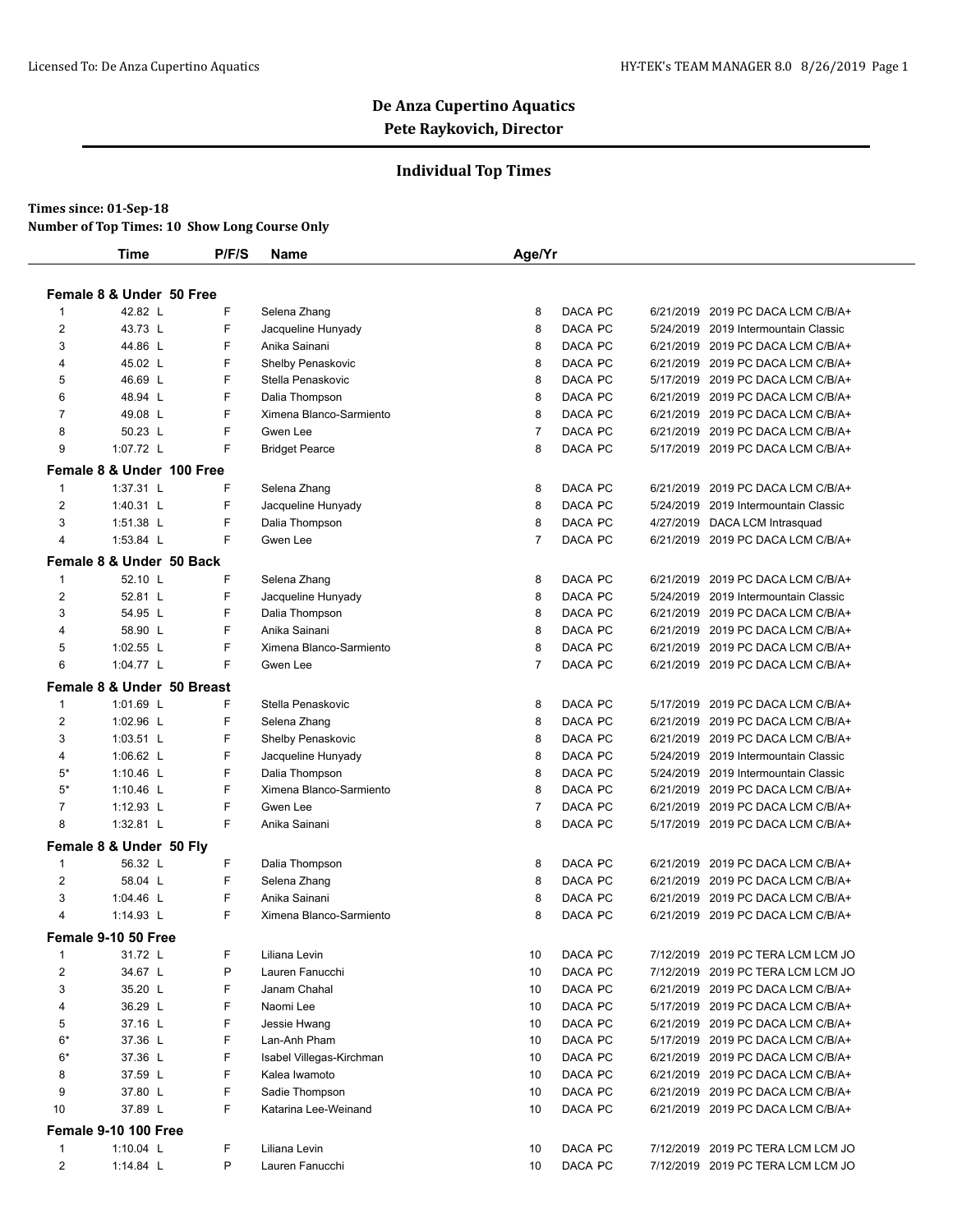### **Individual Top Times**

#### **Times since: 01-Sep-18**

**Number of Top Times: 10 Show Long Course Only**

|                | <b>Time</b>                | P/F/S | Name                     | Age/Yr         |         |                                      |
|----------------|----------------------------|-------|--------------------------|----------------|---------|--------------------------------------|
|                | Female 8 & Under 50 Free   |       |                          |                |         |                                      |
| 1              | 42.82 L                    | F     | Selena Zhang             | 8              | DACA PC | 6/21/2019 2019 PC DACA LCM C/B/A+    |
| 2              | 43.73 L                    | F     | Jacqueline Hunyady       | 8              | DACA PC | 5/24/2019 2019 Intermountain Classic |
| 3              | 44.86 L                    | F     | Anika Sainani            | 8              | DACA PC | 6/21/2019 2019 PC DACA LCM C/B/A+    |
| 4              | 45.02 L                    | F     | Shelby Penaskovic        | 8              | DACA PC | 6/21/2019 2019 PC DACA LCM C/B/A+    |
| 5              | 46.69 L                    | F     | Stella Penaskovic        | 8              | DACA PC | 5/17/2019 2019 PC DACA LCM C/B/A+    |
| 6              | 48.94 L                    | F     | Dalia Thompson           | 8              | DACA PC | 6/21/2019 2019 PC DACA LCM C/B/A+    |
| $\overline{7}$ | 49.08 L                    | F     | Ximena Blanco-Sarmiento  | 8              | DACA PC | 6/21/2019 2019 PC DACA LCM C/B/A+    |
| 8              | 50.23 L                    | F     | Gwen Lee                 | $\overline{7}$ | DACA PC | 6/21/2019 2019 PC DACA LCM C/B/A+    |
| 9              | 1:07.72 L                  | F     | <b>Bridget Pearce</b>    | 8              | DACA PC | 5/17/2019 2019 PC DACA LCM C/B/A+    |
|                | Female 8 & Under 100 Free  |       |                          |                |         |                                      |
| $\mathbf{1}$   | 1:37.31 L                  | F     | Selena Zhang             | 8              | DACA PC | 6/21/2019 2019 PC DACA LCM C/B/A+    |
| $\overline{2}$ | 1:40.31 L                  | F     | Jacqueline Hunyady       | 8              | DACA PC | 5/24/2019 2019 Intermountain Classic |
| 3              | 1:51.38 L                  | F     | Dalia Thompson           | 8              | DACA PC | 4/27/2019 DACA LCM Intrasquad        |
| 4              | 1:53.84 L                  | F     | Gwen Lee                 | $\overline{7}$ | DACA PC | 6/21/2019 2019 PC DACA LCM C/B/A+    |
|                | Female 8 & Under 50 Back   |       |                          |                |         |                                      |
| 1              | 52.10 L                    | F     | Selena Zhang             | 8              | DACA PC | 6/21/2019 2019 PC DACA LCM C/B/A+    |
| 2              | 52.81 L                    | F     | Jacqueline Hunyady       | 8              | DACA PC | 5/24/2019 2019 Intermountain Classic |
| 3              | 54.95 L                    | F     | Dalia Thompson           | 8              | DACA PC | 6/21/2019 2019 PC DACA LCM C/B/A+    |
| $\overline{4}$ | 58.90 L                    | F     | Anika Sainani            | 8              | DACA PC | 6/21/2019 2019 PC DACA LCM C/B/A+    |
| 5              | 1:02.55 L                  | F     | Ximena Blanco-Sarmiento  | 8              | DACA PC | 6/21/2019 2019 PC DACA LCM C/B/A+    |
| 6              | 1:04.77 $L$                | F     | Gwen Lee                 | $\overline{7}$ | DACA PC | 6/21/2019 2019 PC DACA LCM C/B/A+    |
|                | Female 8 & Under 50 Breast |       |                          |                |         |                                      |
| $\mathbf{1}$   | 1:01.69 L                  | F     | Stella Penaskovic        | 8              | DACA PC | 5/17/2019 2019 PC DACA LCM C/B/A+    |
| 2              | 1:02.96 L                  | F     | Selena Zhang             | 8              | DACA PC | 6/21/2019 2019 PC DACA LCM C/B/A+    |
| 3              | $1:03.51$ L                | F     | Shelby Penaskovic        | 8              | DACA PC | 6/21/2019 2019 PC DACA LCM C/B/A+    |
| 4              | 1:06.62 L                  | F     | Jacqueline Hunyady       | 8              | DACA PC | 5/24/2019 2019 Intermountain Classic |
| $5*$           | 1:10.46 L                  | F     | Dalia Thompson           | 8              | DACA PC | 5/24/2019 2019 Intermountain Classic |
| $5*$           | 1:10.46 L                  | F     | Ximena Blanco-Sarmiento  | 8              | DACA PC | 6/21/2019 2019 PC DACA LCM C/B/A+    |
| $\overline{7}$ | $1:12.93$ L                | F     | Gwen Lee                 | $\overline{7}$ | DACA PC | 6/21/2019 2019 PC DACA LCM C/B/A+    |
| 8              | 1:32.81 L                  | F     | Anika Sainani            | 8              | DACA PC | 5/17/2019 2019 PC DACA LCM C/B/A+    |
|                | Female 8 & Under 50 Fly    |       |                          |                |         |                                      |
| $\mathbf{1}$   | 56.32 L                    | F     | Dalia Thompson           | 8              | DACA PC | 6/21/2019 2019 PC DACA LCM C/B/A+    |
| 2              | 58.04 L                    | F     | Selena Zhang             | 8              | DACA PC | 6/21/2019 2019 PC DACA LCM C/B/A+    |
| 3              | 1:04.46 L                  | F     | Anika Sainani            | 8              | DACA PC | 6/21/2019 2019 PC DACA LCM C/B/A+    |
| 4              | 1:14.93 L                  | F     | Ximena Blanco-Sarmiento  | 8              | DACA PC | 6/21/2019 2019 PC DACA LCM C/B/A+    |
|                | Female 9-10 50 Free        |       |                          |                |         |                                      |
| $\mathbf{1}$   | 31.72 L                    | F     | Liliana Levin            | 10             | DACA PC | 7/12/2019 2019 PC TERA LCM LCM JO    |
| $\overline{c}$ | 34.67 L                    | Ρ     | Lauren Fanucchi          | 10             | DACA PC | 7/12/2019 2019 PC TERA LCM LCM JO    |
| 3              | 35.20 L                    | F     | Janam Chahal             | 10             | DACA PC | 6/21/2019 2019 PC DACA LCM C/B/A+    |
| 4              | 36.29 L                    | F     | Naomi Lee                | 10             | DACA PC | 5/17/2019 2019 PC DACA LCM C/B/A+    |
| 5              | 37.16 L                    | F     | Jessie Hwang             | 10             | DACA PC | 6/21/2019 2019 PC DACA LCM C/B/A+    |
| $6*$           | 37.36 L                    | F     | Lan-Anh Pham             | 10             | DACA PC | 5/17/2019 2019 PC DACA LCM C/B/A+    |
| $6*$           | 37.36 L                    | F     | Isabel Villegas-Kirchman | 10             | DACA PC | 6/21/2019 2019 PC DACA LCM C/B/A+    |
| 8              | 37.59 L                    | F     | Kalea Iwamoto            | 10             | DACA PC | 6/21/2019 2019 PC DACA LCM C/B/A+    |
| 9              | 37.80 L                    | F     | Sadie Thompson           | 10             | DACA PC | 6/21/2019 2019 PC DACA LCM C/B/A+    |
| 10             | 37.89 L                    | F.    | Katarina Lee-Weinand     | 10             | DACA PC | 6/21/2019 2019 PC DACA LCM C/B/A+    |
|                | Female 9-10 100 Free       |       |                          |                |         |                                      |
| 1              | 1:10.04 L                  | F     | Liliana Levin            | 10             | DACA PC | 7/12/2019 2019 PC TERA LCM LCM JO    |
| 2              | 1:14.84 $L$                | P     | Lauren Fanucchi          | 10             | DACA PC | 7/12/2019 2019 PC TERA LCM LCM JO    |
|                |                            |       |                          |                |         |                                      |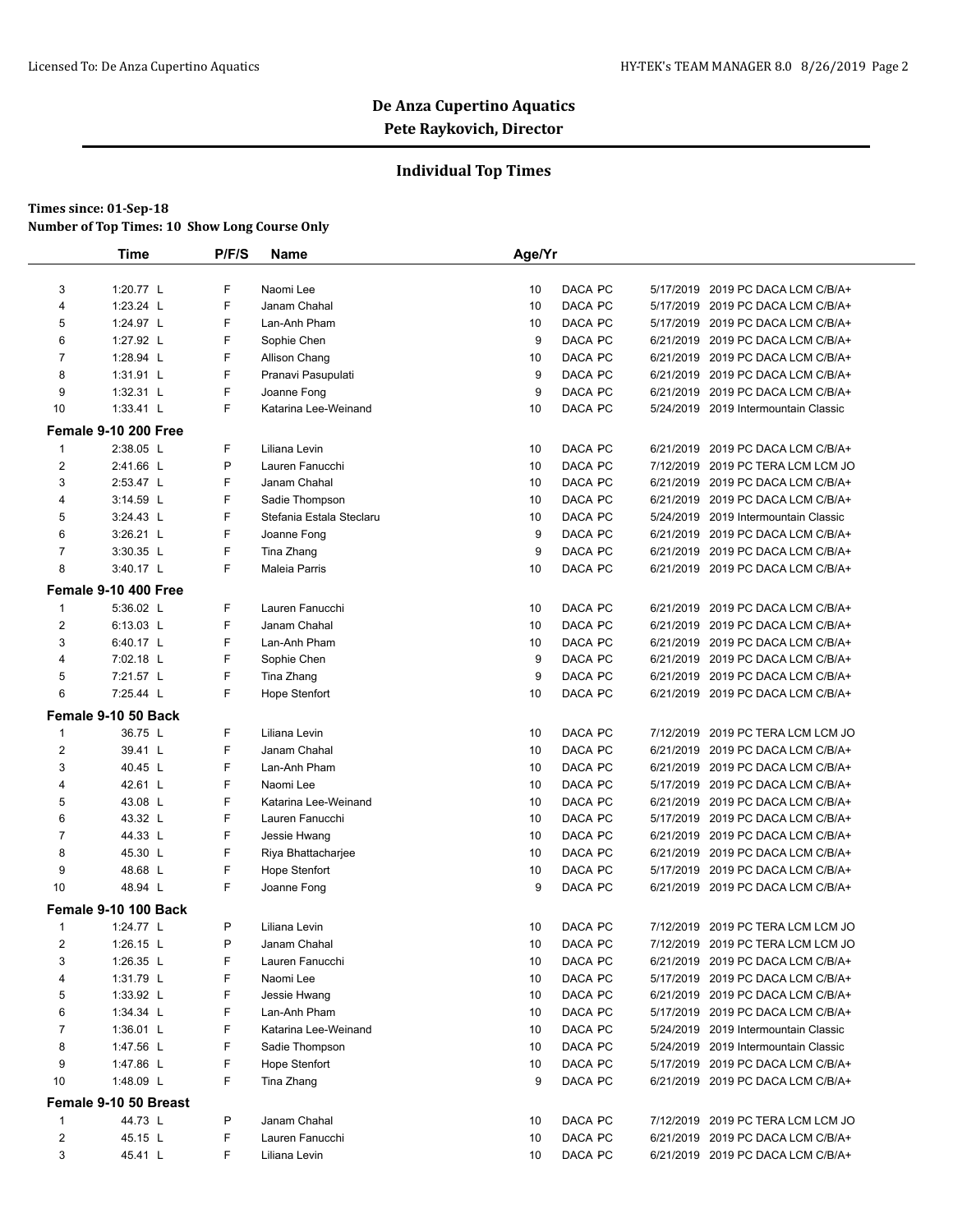### **Individual Top Times**

|                         | <b>Time</b>           | P/F/S  | Name                     | Age/Yr |         |           |                                      |  |
|-------------------------|-----------------------|--------|--------------------------|--------|---------|-----------|--------------------------------------|--|
| 3                       | 1:20.77 L             | F      | Naomi Lee                | 10     | DACA PC |           | 5/17/2019 2019 PC DACA LCM C/B/A+    |  |
| 4                       | 1:23.24 L             | F      | Janam Chahal             | 10     | DACA PC |           | 5/17/2019 2019 PC DACA LCM C/B/A+    |  |
| 5                       | 1:24.97 L             | F      | Lan-Anh Pham             | 10     | DACA PC |           | 5/17/2019 2019 PC DACA LCM C/B/A+    |  |
| 6                       | 1:27.92 L             | F      | Sophie Chen              | 9      | DACA PC |           | 6/21/2019 2019 PC DACA LCM C/B/A+    |  |
| $\overline{7}$          | 1:28.94 L             | F      | Allison Chang            | 10     | DACA PC |           | 6/21/2019 2019 PC DACA LCM C/B/A+    |  |
| 8                       |                       | F      |                          |        |         |           |                                      |  |
|                         | 1:31.91 L             |        | Pranavi Pasupulati       | 9      | DACA PC |           | 6/21/2019 2019 PC DACA LCM C/B/A+    |  |
| 9                       | 1:32.31 L             | F<br>F | Joanne Fong              | 9      | DACA PC |           | 6/21/2019 2019 PC DACA LCM C/B/A+    |  |
| 10                      | $1:33.41$ L           |        | Katarina Lee-Weinand     | 10     | DACA PC |           | 5/24/2019 2019 Intermountain Classic |  |
|                         | Female 9-10 200 Free  |        |                          |        |         |           |                                      |  |
| 1                       | 2:38.05 L             | F      | Liliana Levin            | 10     | DACA PC | 6/21/2019 | 2019 PC DACA LCM C/B/A+              |  |
| $\overline{2}$          | 2:41.66 L             | P      | Lauren Fanucchi          | 10     | DACA PC |           | 7/12/2019 2019 PC TERA LCM LCM JO    |  |
| 3                       | 2:53.47 L             | F      | Janam Chahal             | 10     | DACA PC |           | 6/21/2019 2019 PC DACA LCM C/B/A+    |  |
| 4                       | 3:14.59 L             | F      | Sadie Thompson           | 10     | DACA PC | 6/21/2019 | 2019 PC DACA LCM C/B/A+              |  |
| 5                       | 3:24.43 L             | F      | Stefania Estala Steclaru | 10     | DACA PC |           | 5/24/2019 2019 Intermountain Classic |  |
| 6                       | 3:26.21 L             | F      | Joanne Fong              | 9      | DACA PC |           | 6/21/2019 2019 PC DACA LCM C/B/A+    |  |
| $\overline{7}$          | 3:30.35 L             | F      | Tina Zhang               | 9      | DACA PC | 6/21/2019 | 2019 PC DACA LCM C/B/A+              |  |
| 8                       | 3:40.17 L             | F      | Maleia Parris            | 10     | DACA PC |           | 6/21/2019 2019 PC DACA LCM C/B/A+    |  |
|                         | Female 9-10 400 Free  |        |                          |        |         |           |                                      |  |
| 1                       | 5:36.02 L             | F      | Lauren Fanucchi          | 10     | DACA PC |           | 6/21/2019 2019 PC DACA LCM C/B/A+    |  |
| 2                       | 6:13.03 L             | F      | Janam Chahal             | 10     | DACA PC |           | 6/21/2019 2019 PC DACA LCM C/B/A+    |  |
| 3                       | 6:40.17 L             | F      | Lan-Anh Pham             | 10     | DACA PC |           | 6/21/2019 2019 PC DACA LCM C/B/A+    |  |
| 4                       | 7:02.18 L             | F      | Sophie Chen              | 9      | DACA PC |           | 6/21/2019 2019 PC DACA LCM C/B/A+    |  |
| 5                       | 7:21.57 L             | F      | Tina Zhang               | 9      | DACA PC |           | 6/21/2019 2019 PC DACA LCM C/B/A+    |  |
| 6                       | 7:25.44 L             | F      | <b>Hope Stenfort</b>     | 10     | DACA PC |           | 6/21/2019 2019 PC DACA LCM C/B/A+    |  |
|                         | Female 9-10 50 Back   |        |                          |        |         |           |                                      |  |
| $\mathbf{1}$            | 36.75 L               | F      | Liliana Levin            | 10     | DACA PC | 7/12/2019 | 2019 PC TERA LCM LCM JO              |  |
| $\overline{2}$          | 39.41 L               | F      | Janam Chahal             | 10     | DACA PC |           | 6/21/2019 2019 PC DACA LCM C/B/A+    |  |
| 3                       | 40.45 L               | F      | Lan-Anh Pham             | 10     | DACA PC |           | 6/21/2019 2019 PC DACA LCM C/B/A+    |  |
| 4                       | 42.61 L               | F      | Naomi Lee                | 10     | DACA PC |           | 5/17/2019 2019 PC DACA LCM C/B/A+    |  |
| 5                       | 43.08 L               | F      | Katarina Lee-Weinand     | 10     | DACA PC |           | 6/21/2019 2019 PC DACA LCM C/B/A+    |  |
| 6                       | 43.32 L               | F      | Lauren Fanucchi          | 10     | DACA PC |           | 5/17/2019 2019 PC DACA LCM C/B/A+    |  |
| $\overline{7}$          | 44.33 L               | F      | Jessie Hwang             | 10     | DACA PC | 6/21/2019 | 2019 PC DACA LCM C/B/A+              |  |
| 8                       | 45.30 L               | F      | Riya Bhattacharjee       | 10     | DACA PC |           | 6/21/2019 2019 PC DACA LCM C/B/A+    |  |
| 9                       | 48.68 L               | F      | <b>Hope Stenfort</b>     | 10     | DACA PC |           | 5/17/2019 2019 PC DACA LCM C/B/A+    |  |
| 10                      | 48.94 L               | F      | Joanne Fong              | 9      | DACA PC |           | 6/21/2019 2019 PC DACA LCM C/B/A+    |  |
|                         | Female 9-10 100 Back  |        |                          |        |         |           |                                      |  |
| 1                       | 1:24.77 L             | P      | Liliana Levin            | 10     | DACA PC |           | 7/12/2019 2019 PC TERA LCM LCM JO    |  |
| 2                       | 1:26.15 $L$           | Ρ      | Janam Chahal             | 10     | DACA PC |           | 7/12/2019   2019 PC TERA LCM LCM JO  |  |
| 3                       | 1:26.35 L             | F      | Lauren Fanucchi          | 10     | DACA PC |           | 6/21/2019 2019 PC DACA LCM C/B/A+    |  |
| 4                       | 1:31.79 L             | F      | Naomi Lee                | 10     | DACA PC |           | 5/17/2019 2019 PC DACA LCM C/B/A+    |  |
| 5                       | 1:33.92 $\lfloor$     | F      | Jessie Hwang             | 10     | DACA PC |           | 6/21/2019 2019 PC DACA LCM C/B/A+    |  |
| 6                       | 1:34.34 L             | F      | Lan-Anh Pham             | 10     | DACA PC |           | 5/17/2019 2019 PC DACA LCM C/B/A+    |  |
| 7                       | 1:36.01 $L$           | F      | Katarina Lee-Weinand     | 10     | DACA PC |           | 5/24/2019 2019 Intermountain Classic |  |
| 8                       | 1:47.56 L             | F      | Sadie Thompson           | 10     | DACA PC |           | 5/24/2019 2019 Intermountain Classic |  |
| 9                       | 1:47.86 L             | F      | Hope Stenfort            | 10     | DACA PC |           | 5/17/2019 2019 PC DACA LCM C/B/A+    |  |
| 10                      | 1:48.09 L             | F      | Tina Zhang               | 9      | DACA PC |           | 6/21/2019 2019 PC DACA LCM C/B/A+    |  |
|                         | Female 9-10 50 Breast |        |                          |        |         |           |                                      |  |
| 1                       | 44.73 L               | P      | Janam Chahal             | 10     | DACA PC |           | 7/12/2019 2019 PC TERA LCM LCM JO    |  |
| $\overline{\mathbf{c}}$ | 45.15 L               | F      | Lauren Fanucchi          | 10     | DACA PC |           | 6/21/2019 2019 PC DACA LCM C/B/A+    |  |
| 3                       | 45.41 L               | F      | Liliana Levin            | 10     | DACA PC |           | 6/21/2019 2019 PC DACA LCM C/B/A+    |  |
|                         |                       |        |                          |        |         |           |                                      |  |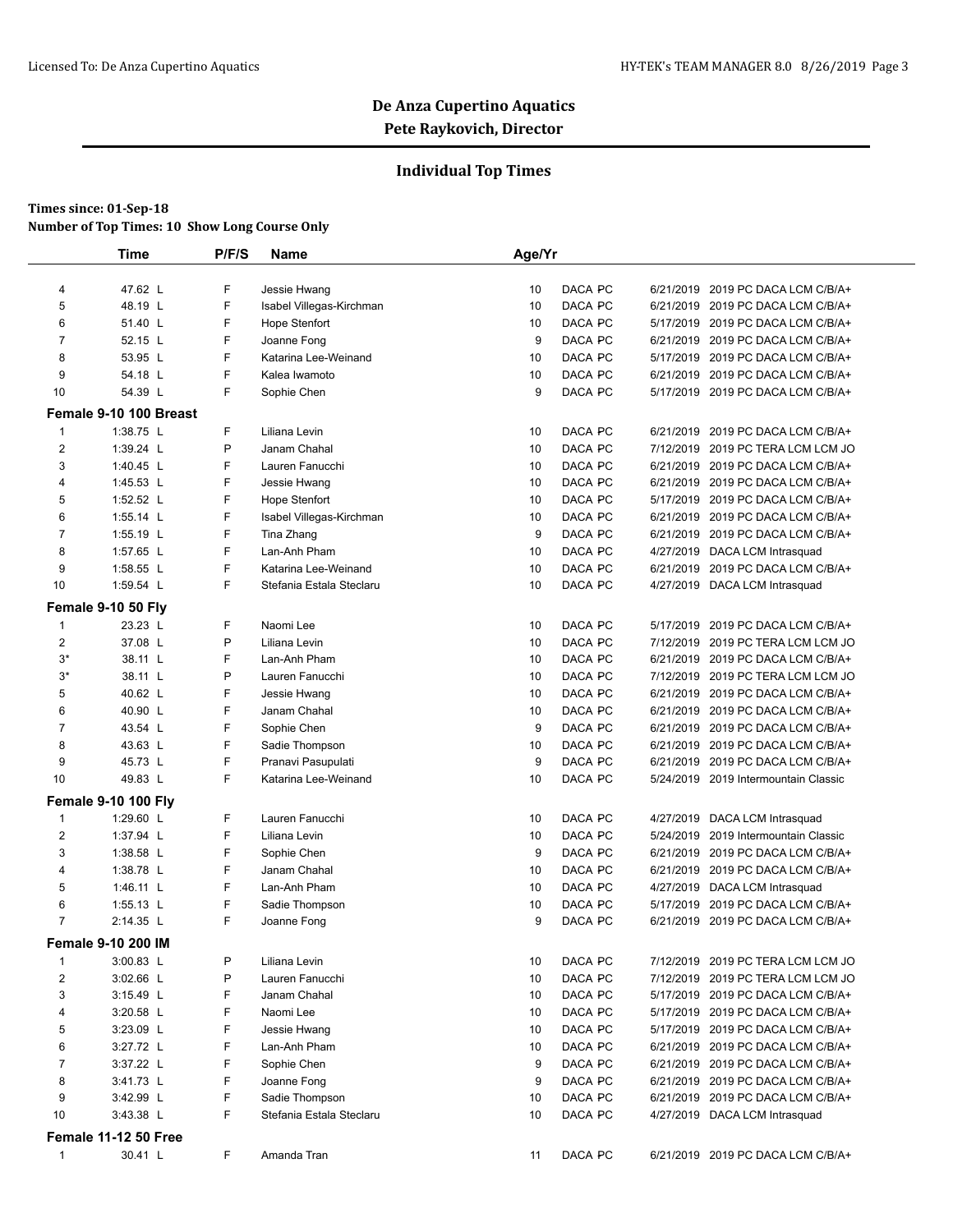### **Individual Top Times**

|                                | <b>Time</b>                 | P/F/S | <b>Name</b>                   | Age/Yr |                    |           |                                      |
|--------------------------------|-----------------------------|-------|-------------------------------|--------|--------------------|-----------|--------------------------------------|
| 4                              | 47.62 L                     | F     | Jessie Hwang                  | 10     | DACA PC            |           | 6/21/2019 2019 PC DACA LCM C/B/A+    |
| 5                              | 48.19 L                     | F     | Isabel Villegas-Kirchman      | 10     | DACA PC            |           | 6/21/2019 2019 PC DACA LCM C/B/A+    |
| 6                              | 51.40 L                     | F     | <b>Hope Stenfort</b>          | 10     | DACA PC            |           | 5/17/2019 2019 PC DACA LCM C/B/A+    |
| $\overline{7}$                 | 52.15 L                     | F     | Joanne Fong                   | 9      | DACA PC            |           | 6/21/2019 2019 PC DACA LCM C/B/A+    |
| 8                              | 53.95 L                     | F     | Katarina Lee-Weinand          | 10     | DACA PC            |           | 5/17/2019 2019 PC DACA LCM C/B/A+    |
| 9                              | 54.18 L                     | F     | Kalea Iwamoto                 | 10     | DACA PC            |           | 6/21/2019 2019 PC DACA LCM C/B/A+    |
| 10                             | 54.39 L                     | F     | Sophie Chen                   | 9      | DACA PC            |           | 5/17/2019 2019 PC DACA LCM C/B/A+    |
|                                |                             |       |                               |        |                    |           |                                      |
|                                | Female 9-10 100 Breast      | F     |                               |        |                    |           |                                      |
| $\mathbf{1}$<br>$\overline{2}$ | 1:38.75 L                   | P     | Liliana Levin<br>Janam Chahal | 10     | DACA PC<br>DACA PC |           | 6/21/2019 2019 PC DACA LCM C/B/A+    |
|                                | 1:39.24 L                   |       |                               | 10     |                    |           | 7/12/2019 2019 PC TERA LCM LCM JO    |
| 3                              | 1:40.45 L                   | F     | Lauren Fanucchi               | 10     | DACA PC            |           | 6/21/2019 2019 PC DACA LCM C/B/A+    |
| 4                              | 1:45.53 L                   | F     | Jessie Hwang                  | 10     | DACA PC            |           | 6/21/2019 2019 PC DACA LCM C/B/A+    |
| 5                              | 1:52.52 L                   | F     | <b>Hope Stenfort</b>          | 10     | DACA PC            |           | 5/17/2019 2019 PC DACA LCM C/B/A+    |
| 6                              | 1:55.14 L                   | F     | Isabel Villegas-Kirchman      | 10     | DACA PC            |           | 6/21/2019 2019 PC DACA LCM C/B/A+    |
| $\overline{7}$                 | 1:55.19 L                   | F     | Tina Zhang                    | 9      | DACA PC            |           | 6/21/2019 2019 PC DACA LCM C/B/A+    |
| 8                              | 1:57.65 L                   | F     | Lan-Anh Pham                  | 10     | DACA PC            |           | 4/27/2019 DACA LCM Intrasquad        |
| 9                              | 1:58.55 L                   | F     | Katarina Lee-Weinand          | 10     | DACA PC            |           | 6/21/2019 2019 PC DACA LCM C/B/A+    |
| 10                             | 1:59.54 L                   | F     | Stefania Estala Steclaru      | 10     | DACA PC            |           | 4/27/2019 DACA LCM Intrasquad        |
|                                | Female 9-10 50 Fly          |       |                               |        |                    |           |                                      |
| $\mathbf{1}$                   | 23.23 L                     | F     | Naomi Lee                     | 10     | DACA PC            | 5/17/2019 | 2019 PC DACA LCM C/B/A+              |
| $\overline{2}$                 | 37.08 L                     | P     | Liliana Levin                 | 10     | DACA PC            |           | 7/12/2019 2019 PC TERA LCM LCM JO    |
| $3^*$                          | 38.11 L                     | F     | Lan-Anh Pham                  | 10     | DACA PC            |           | 6/21/2019 2019 PC DACA LCM C/B/A+    |
| $3^*$                          | 38.11 L                     | P     | Lauren Fanucchi               | 10     | DACA PC            |           | 7/12/2019 2019 PC TERA LCM LCM JO    |
| 5                              | 40.62 L                     | F     | Jessie Hwang                  | 10     | DACA PC            |           | 6/21/2019 2019 PC DACA LCM C/B/A+    |
| 6                              | 40.90 L                     | F     | Janam Chahal                  | 10     | DACA PC            |           | 6/21/2019 2019 PC DACA LCM C/B/A+    |
| $\overline{7}$                 | 43.54 L                     | F     | Sophie Chen                   | 9      | DACA PC            |           | 6/21/2019 2019 PC DACA LCM C/B/A+    |
| 8                              | 43.63 L                     | F     | Sadie Thompson                | 10     | DACA PC            |           | 6/21/2019 2019 PC DACA LCM C/B/A+    |
| 9                              | 45.73 L                     | F     | Pranavi Pasupulati            | 9      | DACA PC            |           | 6/21/2019 2019 PC DACA LCM C/B/A+    |
| 10                             | 49.83 L                     | F     | Katarina Lee-Weinand          | 10     | DACA PC            |           | 5/24/2019 2019 Intermountain Classic |
|                                | <b>Female 9-10 100 Fly</b>  |       |                               |        |                    |           |                                      |
| $\mathbf{1}$                   | 1:29.60 L                   | F     | Lauren Fanucchi               | 10     | DACA PC            |           | 4/27/2019 DACA LCM Intrasquad        |
| $\overline{2}$                 | 1:37.94 L                   | F     | Liliana Levin                 | 10     | DACA PC            |           | 5/24/2019 2019 Intermountain Classic |
| 3                              | 1:38.58 L                   | F     | Sophie Chen                   | 9      | DACA PC            |           | 6/21/2019 2019 PC DACA LCM C/B/A+    |
| 4                              | 1:38.78 L                   | F     | Janam Chahal                  | 10     | DACA PC            |           | 6/21/2019 2019 PC DACA LCM C/B/A+    |
| 5                              | 1:46.11 L                   | F     | Lan-Anh Pham                  | 10     | DACA PC            |           | 4/27/2019 DACA LCM Intrasquad        |
| 6                              | $1:55.13$ L                 | F     | Sadie Thompson                | 10     | DACA PC            |           | 5/17/2019 2019 PC DACA LCM C/B/A+    |
| $\overline{7}$                 | 2:14.35 L                   | F     | Joanne Fong                   | 9      | DACA PC            |           | 6/21/2019 2019 PC DACA LCM C/B/A+    |
|                                | Female 9-10 200 IM          |       |                               |        |                    |           |                                      |
| 1                              | $3:00.83$ L                 | Ρ     | Liliana Levin                 | 10     | DACA PC            |           | 7/12/2019 2019 PC TERA LCM LCM JO    |
| 2                              | 3:02.66 L                   | P     | Lauren Fanucchi               | 10     | DACA PC            |           | 7/12/2019 2019 PC TERA LCM LCM JO    |
| 3                              | 3:15.49 L                   | F     | Janam Chahal                  | 10     | DACA PC            |           | 5/17/2019 2019 PC DACA LCM C/B/A+    |
| 4                              | $3:20.58$ L                 | F     | Naomi Lee                     | 10     | DACA PC            |           | 5/17/2019 2019 PC DACA LCM C/B/A+    |
| 5                              | $3:23.09$ L                 | F     | Jessie Hwang                  | 10     | DACA PC            |           | 5/17/2019 2019 PC DACA LCM C/B/A+    |
| 6                              | 3:27.72 L                   | F     | Lan-Anh Pham                  | 10     | DACA PC            |           | 6/21/2019 2019 PC DACA LCM C/B/A+    |
| $\overline{7}$                 | 3:37.22 L                   | F     | Sophie Chen                   | 9      | DACA PC            |           | 6/21/2019 2019 PC DACA LCM C/B/A+    |
| 8                              | 3:41.73 L                   | F     | Joanne Fong                   | 9      | DACA PC            |           | 6/21/2019 2019 PC DACA LCM C/B/A+    |
| 9                              | 3:42.99 L                   | F     | Sadie Thompson                | 10     | DACA PC            |           | 6/21/2019 2019 PC DACA LCM C/B/A+    |
| 10                             | 3:43.38 L                   | F     | Stefania Estala Steclaru      | 10     | DACA PC            |           | 4/27/2019 DACA LCM Intrasquad        |
|                                |                             |       |                               |        |                    |           |                                      |
|                                | <b>Female 11-12 50 Free</b> |       |                               |        |                    |           |                                      |
| 1                              | 30.41 L                     | F.    | Amanda Tran                   | 11     | DACA PC            |           | 6/21/2019 2019 PC DACA LCM C/B/A+    |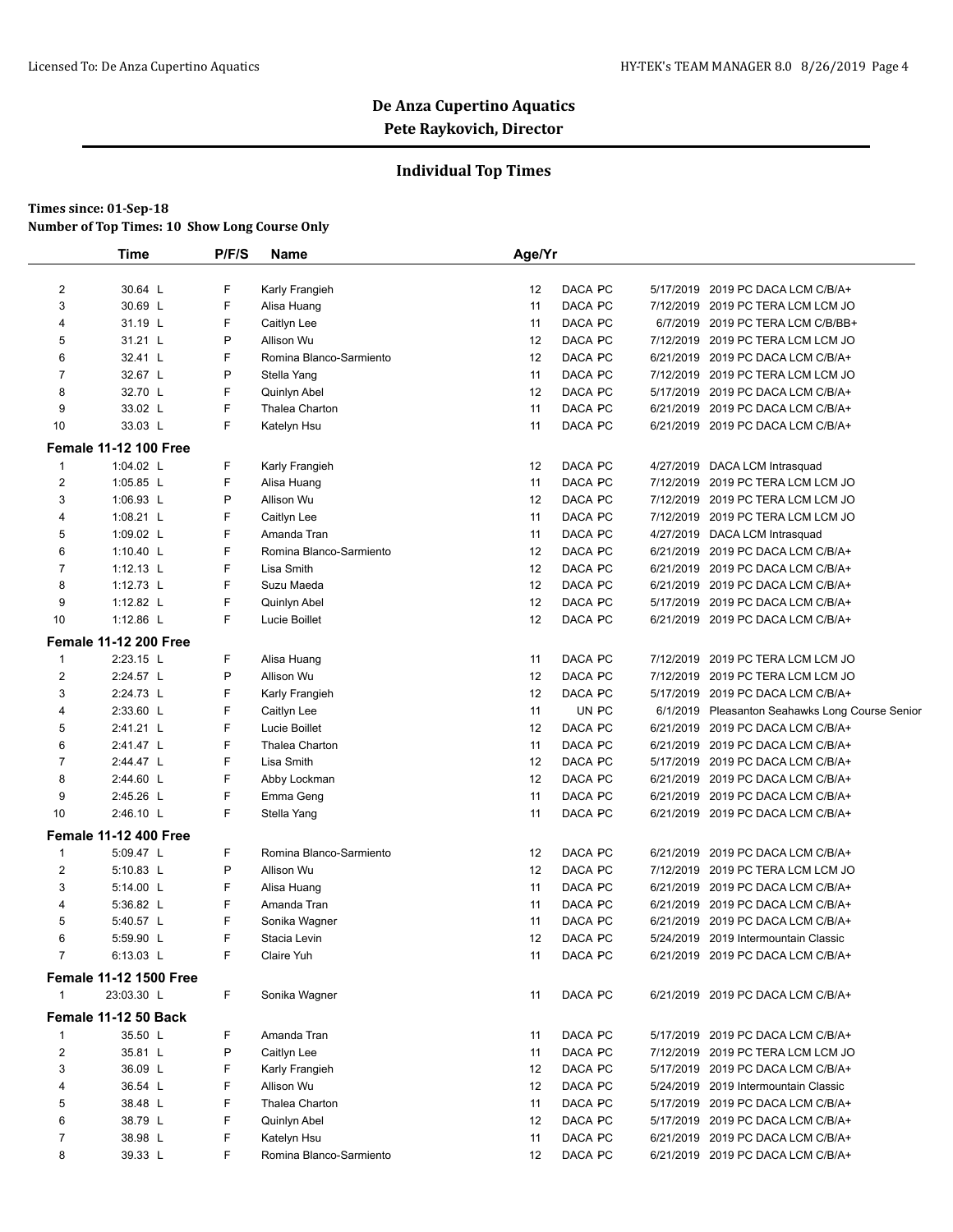### **Individual Top Times**

|                | <b>Time</b>                   | P/F/S | <b>Name</b>             | Age/Yr |         |                                                 |
|----------------|-------------------------------|-------|-------------------------|--------|---------|-------------------------------------------------|
| 2              | 30.64 L                       | F     | Karly Frangieh          | 12     | DACA PC | 5/17/2019 2019 PC DACA LCM C/B/A+               |
| 3              | 30.69 L                       | F     | Alisa Huang             | 11     | DACA PC | 7/12/2019 2019 PC TERA LCM LCM JO               |
| 4              | 31.19 L                       | F     | Caitlyn Lee             | 11     | DACA PC | 6/7/2019 2019 PC TERA LCM C/B/BB+               |
| 5              | 31.21 L                       | P     | Allison Wu              | 12     | DACA PC | 7/12/2019 2019 PC TERA LCM LCM JO               |
| 6              | 32.41 L                       | F     | Romina Blanco-Sarmiento | 12     | DACA PC | 6/21/2019 2019 PC DACA LCM C/B/A+               |
| 7              | 32.67 L                       | P     | Stella Yang             | 11     | DACA PC | 7/12/2019 2019 PC TERA LCM LCM JO               |
| 8              | 32.70 L                       | F     | Quinlyn Abel            | 12     | DACA PC | 5/17/2019 2019 PC DACA LCM C/B/A+               |
| 9              | 33.02 L                       | F     | Thalea Charton          | 11     | DACA PC | 6/21/2019 2019 PC DACA LCM C/B/A+               |
| 10             | 33.03 L                       | F     | Katelyn Hsu             | 11     | DACA PC | 6/21/2019 2019 PC DACA LCM C/B/A+               |
|                | <b>Female 11-12 100 Free</b>  |       |                         |        |         |                                                 |
| 1              | 1:04.02 L                     | F     | Karly Frangieh          | 12     | DACA PC | 4/27/2019 DACA LCM Intrasquad                   |
| 2              | 1:05.85 $L$                   | F     | Alisa Huang             | 11     | DACA PC | 7/12/2019 2019 PC TERA LCM LCM JO               |
| 3              | 1:06.93 L                     | P     | Allison Wu              | 12     | DACA PC | 7/12/2019 2019 PC TERA LCM LCM JO               |
| 4              | 1:08.21 L                     | F     | Caitlyn Lee             | 11     | DACA PC | 7/12/2019 2019 PC TERA LCM LCM JO               |
| 5              | 1:09.02 L                     | F     | Amanda Tran             | 11     | DACA PC | 4/27/2019 DACA LCM Intrasquad                   |
| 6              | 1:10.40 L                     | F     | Romina Blanco-Sarmiento | 12     | DACA PC | 6/21/2019 2019 PC DACA LCM C/B/A+               |
| $\overline{7}$ | $1:12.13$ L                   | F     | Lisa Smith              | 12     | DACA PC | 6/21/2019 2019 PC DACA LCM C/B/A+               |
| 8              | 1:12.73 L                     | F     | Suzu Maeda              | 12     | DACA PC | 6/21/2019 2019 PC DACA LCM C/B/A+               |
| 9              | 1:12.82 L                     | F     | Quinlyn Abel            | 12     | DACA PC | 5/17/2019 2019 PC DACA LCM C/B/A+               |
| 10             | 1:12.86 L                     | F     | Lucie Boillet           | 12     | DACA PC | 6/21/2019 2019 PC DACA LCM C/B/A+               |
|                | <b>Female 11-12 200 Free</b>  |       |                         |        |         |                                                 |
| $\mathbf{1}$   | 2:23.15 L                     | F     | Alisa Huang             | 11     | DACA PC | 7/12/2019 2019 PC TERA LCM LCM JO               |
| 2              | 2:24.57 L                     | P     | Allison Wu              | 12     | DACA PC | 7/12/2019 2019 PC TERA LCM LCM JO               |
| 3              | 2:24.73 L                     | F     | Karly Frangieh          | 12     | DACA PC | 5/17/2019 2019 PC DACA LCM C/B/A+               |
| 4              | 2:33.60 L                     | F     | Caitlyn Lee             | 11     | UN PC   | 6/1/2019 Pleasanton Seahawks Long Course Senior |
| 5              | 2:41.21 L                     | F     | Lucie Boillet           | 12     | DACA PC | 6/21/2019 2019 PC DACA LCM C/B/A+               |
| 6              | 2:41.47 L                     | F     | Thalea Charton          | 11     | DACA PC | 6/21/2019 2019 PC DACA LCM C/B/A+               |
| $\overline{7}$ | 2:44.47 L                     | F     | Lisa Smith              | 12     | DACA PC | 5/17/2019 2019 PC DACA LCM C/B/A+               |
| 8              | 2:44.60 L                     | F     | Abby Lockman            | 12     | DACA PC | 6/21/2019 2019 PC DACA LCM C/B/A+               |
| 9              | 2:45.26 L                     | F     | Emma Geng               | 11     | DACA PC | 6/21/2019 2019 PC DACA LCM C/B/A+               |
| 10             | 2:46.10 L                     | F     | Stella Yang             | 11     | DACA PC | 6/21/2019 2019 PC DACA LCM C/B/A+               |
|                | <b>Female 11-12 400 Free</b>  |       |                         |        |         |                                                 |
| 1              | 5:09.47 L                     | F     | Romina Blanco-Sarmiento | 12     | DACA PC | 6/21/2019 2019 PC DACA LCM C/B/A+               |
| 2              | 5:10.83 L                     | P     | Allison Wu              | 12     | DACA PC | 7/12/2019 2019 PC TERA LCM LCM JO               |
| 3              | 5:14.00 L                     | F     | Alisa Huang             | 11     | DACA PC | 6/21/2019 2019 PC DACA LCM C/B/A+               |
| 4              | 5:36.82 L                     | F     | Amanda Tran             | 11     | DACA PC | 6/21/2019 2019 PC DACA LCM C/B/A+               |
| 5              | 5:40.57 L                     | F     | Sonika Wagner           | 11     | DACA PC | 6/21/2019 2019 PC DACA LCM C/B/A+               |
| 6              | 5:59.90 L                     | F     | Stacia Levin            | 12     | DACA PC | 5/24/2019 2019 Intermountain Classic            |
| $\overline{7}$ | 6:13.03 L                     | F     | Claire Yuh              | 11     | DACA PC | 6/21/2019 2019 PC DACA LCM C/B/A+               |
|                | <b>Female 11-12 1500 Free</b> |       |                         |        |         |                                                 |
| 1              | 23:03.30 L                    | F     | Sonika Wagner           | 11     | DACA PC | 6/21/2019 2019 PC DACA LCM C/B/A+               |
|                | <b>Female 11-12 50 Back</b>   |       |                         |        |         |                                                 |
| 1              | 35.50 L                       | F     | Amanda Tran             | 11     | DACA PC | 5/17/2019 2019 PC DACA LCM C/B/A+               |
| 2              | 35.81 L                       | P     | Caitlyn Lee             | 11     | DACA PC | 7/12/2019 2019 PC TERA LCM LCM JO               |
| 3              | 36.09 L                       | F     | Karly Frangieh          | 12     | DACA PC | 5/17/2019 2019 PC DACA LCM C/B/A+               |
| 4              | 36.54 L                       | F     | Allison Wu              | 12     | DACA PC | 5/24/2019 2019 Intermountain Classic            |
| 5              | 38.48 L                       | F     | Thalea Charton          | 11     | DACA PC | 5/17/2019 2019 PC DACA LCM C/B/A+               |
| 6              | 38.79 L                       | F     | Quinlyn Abel            | 12     | DACA PC | 5/17/2019 2019 PC DACA LCM C/B/A+               |
| 7              | 38.98 L                       | F     | Katelyn Hsu             | 11     | DACA PC | 6/21/2019 2019 PC DACA LCM C/B/A+               |
| 8              | 39.33 L                       | F     | Romina Blanco-Sarmiento | 12     | DACA PC | 6/21/2019 2019 PC DACA LCM C/B/A+               |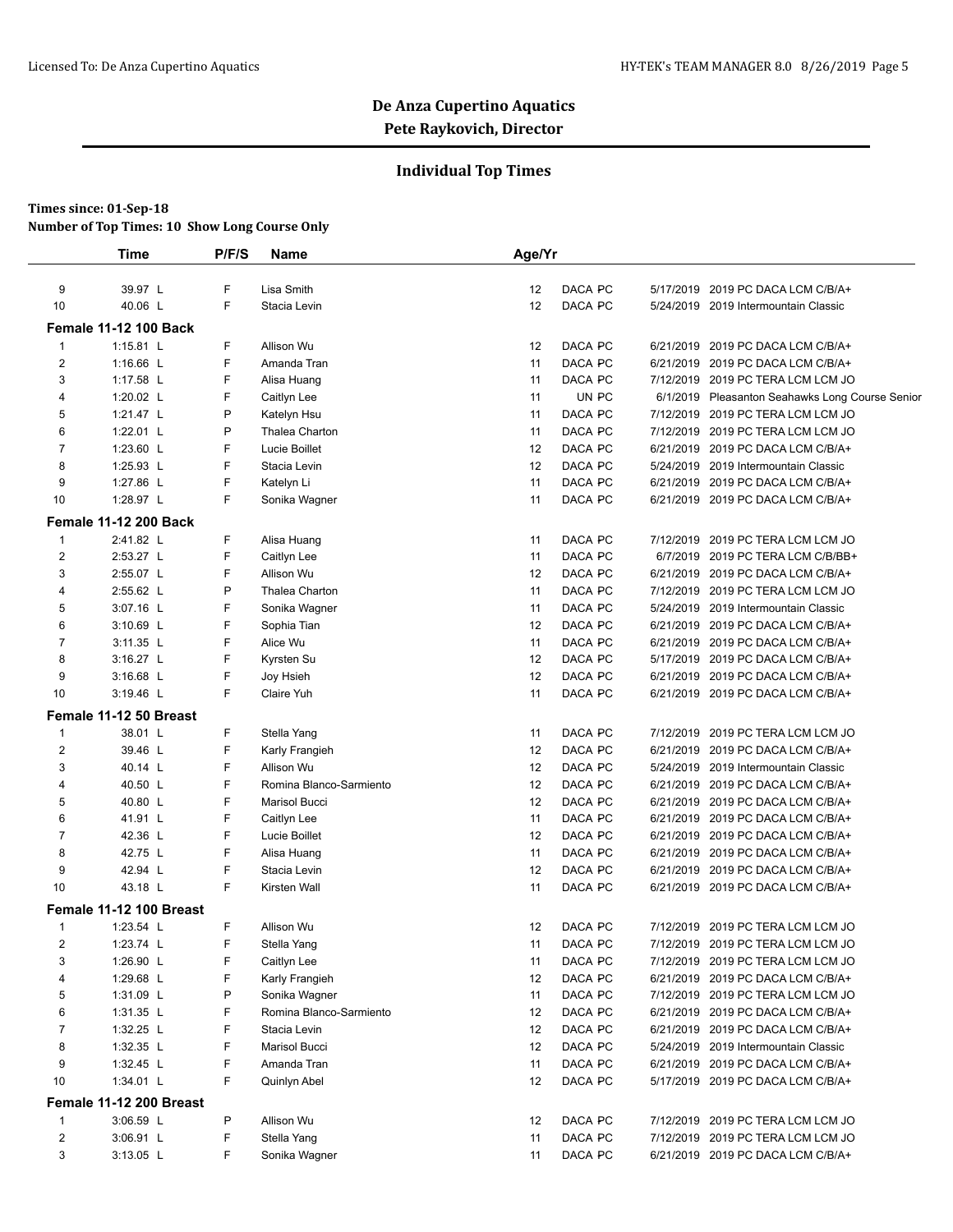### **Individual Top Times**

|                | Time                         | P/F/S | Name                    | Age/Yr |         |                                                 |  |
|----------------|------------------------------|-------|-------------------------|--------|---------|-------------------------------------------------|--|
| 9              | 39.97 L                      | F     | Lisa Smith              | 12     | DACA PC | 5/17/2019 2019 PC DACA LCM C/B/A+               |  |
| 10             | 40.06 L                      | F     | Stacia Levin            | 12     | DACA PC | 5/24/2019 2019 Intermountain Classic            |  |
|                | <b>Female 11-12 100 Back</b> |       |                         |        |         |                                                 |  |
| 1              | 1:15.81 $L$                  | F     | Allison Wu              | 12     | DACA PC | 6/21/2019 2019 PC DACA LCM C/B/A+               |  |
| $\overline{2}$ | 1:16.66 L                    | F     | Amanda Tran             | 11     | DACA PC | 6/21/2019 2019 PC DACA LCM C/B/A+               |  |
| 3              | 1:17.58 L                    | F     | Alisa Huang             | 11     | DACA PC | 7/12/2019 2019 PC TERA LCM LCM JO               |  |
| 4              | 1:20.02 L                    | F     | Caitlyn Lee             | 11     | UN PC   | 6/1/2019 Pleasanton Seahawks Long Course Senior |  |
| 5              | 1:21.47 L                    | P     | Katelyn Hsu             | 11     | DACA PC | 7/12/2019 2019 PC TERA LCM LCM JO               |  |
| 6              | 1:22.01 $L$                  | P     | Thalea Charton          | 11     | DACA PC | 7/12/2019 2019 PC TERA LCM LCM JO               |  |
| $\overline{7}$ | 1:23.60 L                    | F     | Lucie Boillet           | 12     | DACA PC | 6/21/2019 2019 PC DACA LCM C/B/A+               |  |
| 8              | 1:25.93 L                    | F     | Stacia Levin            | 12     | DACA PC | 5/24/2019 2019 Intermountain Classic            |  |
| 9              | 1:27.86 L                    | F     | Katelyn Li              | 11     | DACA PC | 6/21/2019 2019 PC DACA LCM C/B/A+               |  |
| 10             | 1:28.97 L                    | F     |                         | 11     | DACA PC | 6/21/2019 2019 PC DACA LCM C/B/A+               |  |
|                |                              |       | Sonika Wagner           |        |         |                                                 |  |
|                | <b>Female 11-12 200 Back</b> |       |                         |        |         |                                                 |  |
| 1              | 2:41.82 L                    | F     | Alisa Huang             | 11     | DACA PC | 7/12/2019 2019 PC TERA LCM LCM JO               |  |
| 2              | 2:53.27 L                    | F     | Caitlyn Lee             | 11     | DACA PC | 6/7/2019 2019 PC TERA LCM C/B/BB+               |  |
| 3              | 2:55.07 L                    | F     | Allison Wu              | 12     | DACA PC | 6/21/2019 2019 PC DACA LCM C/B/A+               |  |
| $\overline{4}$ | 2:55.62 L                    | P     | Thalea Charton          | 11     | DACA PC | 7/12/2019 2019 PC TERA LCM LCM JO               |  |
| 5              | 3:07.16 L                    | F     | Sonika Wagner           | 11     | DACA PC | 5/24/2019 2019 Intermountain Classic            |  |
| 6              | 3:10.69 L                    | F     | Sophia Tian             | 12     | DACA PC | 6/21/2019 2019 PC DACA LCM C/B/A+               |  |
| $\overline{7}$ | 3:11.35 L                    | F     | Alice Wu                | 11     | DACA PC | 6/21/2019 2019 PC DACA LCM C/B/A+               |  |
| 8              | 3:16.27 L                    | F     | Kyrsten Su              | 12     | DACA PC | 5/17/2019 2019 PC DACA LCM C/B/A+               |  |
| 9              | 3:16.68 L                    | F     | Joy Hsieh               | 12     | DACA PC | 6/21/2019 2019 PC DACA LCM C/B/A+               |  |
| 10             | 3:19.46 L                    | F     | Claire Yuh              | 11     | DACA PC | 6/21/2019 2019 PC DACA LCM C/B/A+               |  |
|                | Female 11-12 50 Breast       |       |                         |        |         |                                                 |  |
| $\mathbf{1}$   | 38.01 L                      | F     | Stella Yang             | 11     | DACA PC | 7/12/2019 2019 PC TERA LCM LCM JO               |  |
| $\overline{2}$ | 39.46 L                      | F     | Karly Frangieh          | 12     | DACA PC | 6/21/2019 2019 PC DACA LCM C/B/A+               |  |
| 3              | 40.14 L                      | F     | Allison Wu              | 12     | DACA PC | 5/24/2019 2019 Intermountain Classic            |  |
| 4              | 40.50 L                      | F     | Romina Blanco-Sarmiento | 12     | DACA PC | 6/21/2019 2019 PC DACA LCM C/B/A+               |  |
| 5              | 40.80 L                      | F     | Marisol Bucci           | 12     | DACA PC | 6/21/2019 2019 PC DACA LCM C/B/A+               |  |
| 6              | 41.91 L                      | F     | Caitlyn Lee             | 11     | DACA PC | 6/21/2019 2019 PC DACA LCM C/B/A+               |  |
| 7              | 42.36 L                      | F     | Lucie Boillet           | 12     | DACA PC | 6/21/2019 2019 PC DACA LCM C/B/A+               |  |
| 8              | 42.75 L                      | F     | Alisa Huang             | 11     | DACA PC | 6/21/2019 2019 PC DACA LCM C/B/A+               |  |
| 9              | 42.94 L                      | F     | Stacia Levin            | 12     | DACA PC | 6/21/2019 2019 PC DACA LCM C/B/A+               |  |
| 10             | 43.18 L                      | F     | Kirsten Wall            | 11     | DACA PC | 6/21/2019 2019 PC DACA LCM C/B/A+               |  |
|                | Female 11-12 100 Breast      |       |                         |        |         |                                                 |  |
| 1              | 1:23.54 L                    | F     | Allison Wu              | 12     | DACA PC | 7/12/2019 2019 PC TERA LCM LCM JO               |  |
| 2              | 1:23.74 L                    | F     | Stella Yang             | 11     | DACA PC | 7/12/2019 2019 PC TERA LCM LCM JO               |  |
| 3              | 1:26.90 $L$                  | F     | Caitlyn Lee             | 11     | DACA PC | 7/12/2019 2019 PC TERA LCM LCM JO               |  |
| 4              | 1:29.68 L                    | F     | Karly Frangieh          | 12     | DACA PC | 6/21/2019 2019 PC DACA LCM C/B/A+               |  |
| 5              | $1:31.09$ L                  | Ρ     | Sonika Wagner           | 11     | DACA PC | 7/12/2019 2019 PC TERA LCM LCM JO               |  |
| 6              | 1:31.35 L                    | F     | Romina Blanco-Sarmiento | 12     | DACA PC | 6/21/2019 2019 PC DACA LCM C/B/A+               |  |
| $\overline{7}$ | 1:32.25 L                    | F     | Stacia Levin            | 12     | DACA PC | 6/21/2019 2019 PC DACA LCM C/B/A+               |  |
| 8              | 1:32.35 $L$                  | F     | Marisol Bucci           | 12     | DACA PC | 5/24/2019 2019 Intermountain Classic            |  |
| 9              | 1:32.45 $L$                  | F     | Amanda Tran             | 11     | DACA PC | 6/21/2019 2019 PC DACA LCM C/B/A+               |  |
| 10             | 1:34.01 L                    | F     | Quinlyn Abel            | 12     | DACA PC | 5/17/2019 2019 PC DACA LCM C/B/A+               |  |
|                | Female 11-12 200 Breast      |       |                         |        |         |                                                 |  |
| $\mathbf{1}$   | 3:06.59 L                    | P     | Allison Wu              | 12     | DACA PC | 7/12/2019 2019 PC TERA LCM LCM JO               |  |
| 2              | 3:06.91 L                    | F     | Stella Yang             | 11     | DACA PC | 7/12/2019 2019 PC TERA LCM LCM JO               |  |
|                |                              |       |                         |        |         |                                                 |  |
| 3              | $3:13.05$ L                  | F.    | Sonika Wagner           | 11     | DACA PC | 6/21/2019 2019 PC DACA LCM C/B/A+               |  |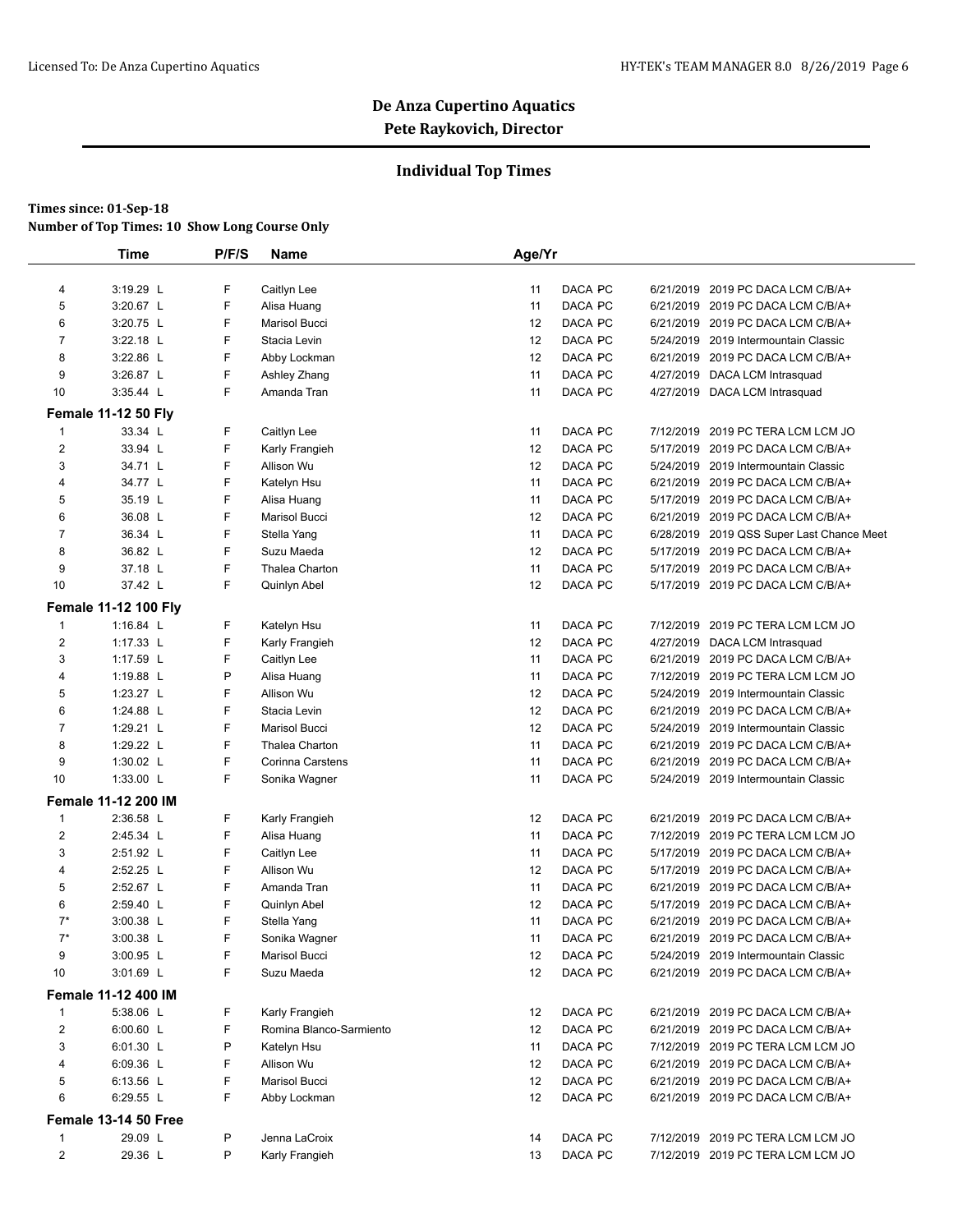### **Individual Top Times**

|                | <b>Time</b>                 | P/F/S | <b>Name</b>             | Age/Yr |         |           |                                           |
|----------------|-----------------------------|-------|-------------------------|--------|---------|-----------|-------------------------------------------|
|                |                             |       |                         |        |         |           |                                           |
| 4              | 3:19.29 L                   | F     | Caitlyn Lee             | 11     | DACA PC |           | 6/21/2019 2019 PC DACA LCM C/B/A+         |
| 5              | 3:20.67 L                   | F     | Alisa Huang             | 11     | DACA PC |           | 6/21/2019 2019 PC DACA LCM C/B/A+         |
| 6              | 3:20.75 L                   | F     | <b>Marisol Bucci</b>    | 12     | DACA PC |           | 6/21/2019 2019 PC DACA LCM C/B/A+         |
| $\overline{7}$ | 3:22.18 L                   | F     | Stacia Levin            | 12     | DACA PC |           | 5/24/2019 2019 Intermountain Classic      |
| 8              | 3:22.86 L                   | F     | Abby Lockman            | 12     | DACA PC |           | 6/21/2019 2019 PC DACA LCM C/B/A+         |
| 9              | 3:26.87 L                   | F     | Ashley Zhang            | 11     | DACA PC |           | 4/27/2019 DACA LCM Intrasquad             |
| 10             | 3:35.44 L                   | F     | Amanda Tran             | 11     | DACA PC |           | 4/27/2019 DACA LCM Intrasquad             |
|                | <b>Female 11-12 50 Fly</b>  |       |                         |        |         |           |                                           |
| 1              | 33.34 L                     | F     | Caitlyn Lee             | 11     | DACA PC |           | 7/12/2019 2019 PC TERA LCM LCM JO         |
| $\overline{c}$ | 33.94 L                     | F     | Karly Frangieh          | 12     | DACA PC |           | 5/17/2019 2019 PC DACA LCM C/B/A+         |
| 3              | 34.71 L                     | F     | Allison Wu              | 12     | DACA PC | 5/24/2019 | 2019 Intermountain Classic                |
| 4              | 34.77 L                     | F     | Katelyn Hsu             | 11     | DACA PC |           | 6/21/2019 2019 PC DACA LCM C/B/A+         |
| 5              | 35.19 L                     | F     | Alisa Huang             | 11     | DACA PC |           | 5/17/2019 2019 PC DACA LCM C/B/A+         |
| 6              | 36.08 L                     | F     | Marisol Bucci           | 12     | DACA PC |           | 6/21/2019 2019 PC DACA LCM C/B/A+         |
| $\overline{7}$ | 36.34 L                     | F     | Stella Yang             | 11     | DACA PC |           | 6/28/2019 2019 QSS Super Last Chance Meet |
| 8              | 36.82 L                     | F     | Suzu Maeda              | 12     | DACA PC |           | 5/17/2019 2019 PC DACA LCM C/B/A+         |
| 9              | 37.18 L                     | F     | Thalea Charton          | 11     | DACA PC |           | 5/17/2019 2019 PC DACA LCM C/B/A+         |
| 10             | 37.42 L                     | F     | Quinlyn Abel            | 12     | DACA PC |           | 5/17/2019 2019 PC DACA LCM C/B/A+         |
|                | <b>Female 11-12 100 Fly</b> |       |                         |        |         |           |                                           |
| $\mathbf{1}$   | 1:16.84 L                   | F     | Katelyn Hsu             | 11     | DACA PC | 7/12/2019 | 2019 PC TERA LCM LCM JO                   |
| 2              | $1:17.33$ L                 | F     | Karly Frangieh          | 12     | DACA PC |           | 4/27/2019 DACA LCM Intrasquad             |
| 3              | 1:17.59 L                   | F     | Caitlyn Lee             | 11     | DACA PC |           | 6/21/2019 2019 PC DACA LCM C/B/A+         |
| 4              | 1:19.88 L                   | P     | Alisa Huang             | 11     | DACA PC |           | 7/12/2019 2019 PC TERA LCM LCM JO         |
| 5              | 1:23.27 L                   | F     | Allison Wu              | 12     | DACA PC |           | 5/24/2019 2019 Intermountain Classic      |
| 6              | 1:24.88 L                   | F     | Stacia Levin            | 12     | DACA PC |           | 6/21/2019 2019 PC DACA LCM C/B/A+         |
| $\overline{7}$ | 1:29.21 L                   | F     | Marisol Bucci           | 12     | DACA PC |           | 5/24/2019 2019 Intermountain Classic      |
| 8              | 1:29.22 L                   | F     | Thalea Charton          | 11     | DACA PC |           | 6/21/2019 2019 PC DACA LCM C/B/A+         |
| 9              | 1:30.02 L                   | F     | Corinna Carstens        | 11     | DACA PC |           | 6/21/2019 2019 PC DACA LCM C/B/A+         |
| 10             | 1:33.00 L                   | F     | Sonika Wagner           | 11     | DACA PC |           | 5/24/2019 2019 Intermountain Classic      |
|                | Female 11-12 200 IM         |       |                         |        |         |           |                                           |
| 1              | 2:36.58 L                   | F     | Karly Frangieh          | 12     | DACA PC |           | 6/21/2019 2019 PC DACA LCM C/B/A+         |
| $\overline{c}$ | 2:45.34 L                   | F     | Alisa Huang             | 11     | DACA PC |           | 7/12/2019 2019 PC TERA LCM LCM JO         |
| 3              | 2:51.92 L                   | F     | Caitlyn Lee             | 11     | DACA PC |           | 5/17/2019 2019 PC DACA LCM C/B/A+         |
| 4              | 2:52.25 L                   | F     | Allison Wu              | 12     | DACA PC |           | 5/17/2019 2019 PC DACA LCM C/B/A+         |
| 5              | 2:52.67 L                   | F     | Amanda Tran             | 11     | DACA PC |           | 6/21/2019 2019 PC DACA LCM C/B/A+         |
| 6              | 2:59.40 L                   | F     | Quinlyn Abel            | 12     | DACA PC |           | 5/17/2019 2019 PC DACA LCM C/B/A+         |
| $7^*$          | 3:00.38 L                   | F     | Stella Yang             | 11     | DACA PC |           | 6/21/2019 2019 PC DACA LCM C/B/A+         |
| $7^*$          | 3:00.38 L                   | F     | Sonika Wagner           | 11     | DACA PC |           | 6/21/2019 2019 PC DACA LCM C/B/A+         |
| 9              | 3:00.95 L                   | F     | Marisol Bucci           | 12     | DACA PC |           | 5/24/2019 2019 Intermountain Classic      |
| 10             | 3:01.69 L                   | F.    | Suzu Maeda              | 12     | DACA PC |           | 6/21/2019 2019 PC DACA LCM C/B/A+         |
|                | <b>Female 11-12 400 IM</b>  |       |                         |        |         |           |                                           |
| 1              | 5:38.06 L                   | F     | Karly Frangieh          | 12     | DACA PC |           | 6/21/2019 2019 PC DACA LCM C/B/A+         |
| $\overline{c}$ | 6:00.60 L                   | F     | Romina Blanco-Sarmiento | 12     | DACA PC |           | 6/21/2019 2019 PC DACA LCM C/B/A+         |
| 3              | 6:01.30 L                   | P     | Katelyn Hsu             | 11     | DACA PC |           | 7/12/2019 2019 PC TERA LCM LCM JO         |
| 4              | 6:09.36 L                   | F     | Allison Wu              | 12     | DACA PC |           | 6/21/2019 2019 PC DACA LCM C/B/A+         |
| 5              | 6:13.56 L                   | F     | <b>Marisol Bucci</b>    | 12     | DACA PC |           | 6/21/2019 2019 PC DACA LCM C/B/A+         |
| 6              | 6:29.55 L                   | F     | Abby Lockman            | 12     | DACA PC |           | 6/21/2019 2019 PC DACA LCM C/B/A+         |
|                | Female 13-14 50 Free        |       |                         |        |         |           |                                           |
| 1              | 29.09 L                     | P     | Jenna LaCroix           | 14     | DACA PC |           | 7/12/2019 2019 PC TERA LCM LCM JO         |
| $\overline{c}$ | 29.36 L                     | P     | Karly Frangieh          | 13     | DACA PC |           | 7/12/2019 2019 PC TERA LCM LCM JO         |
|                |                             |       |                         |        |         |           |                                           |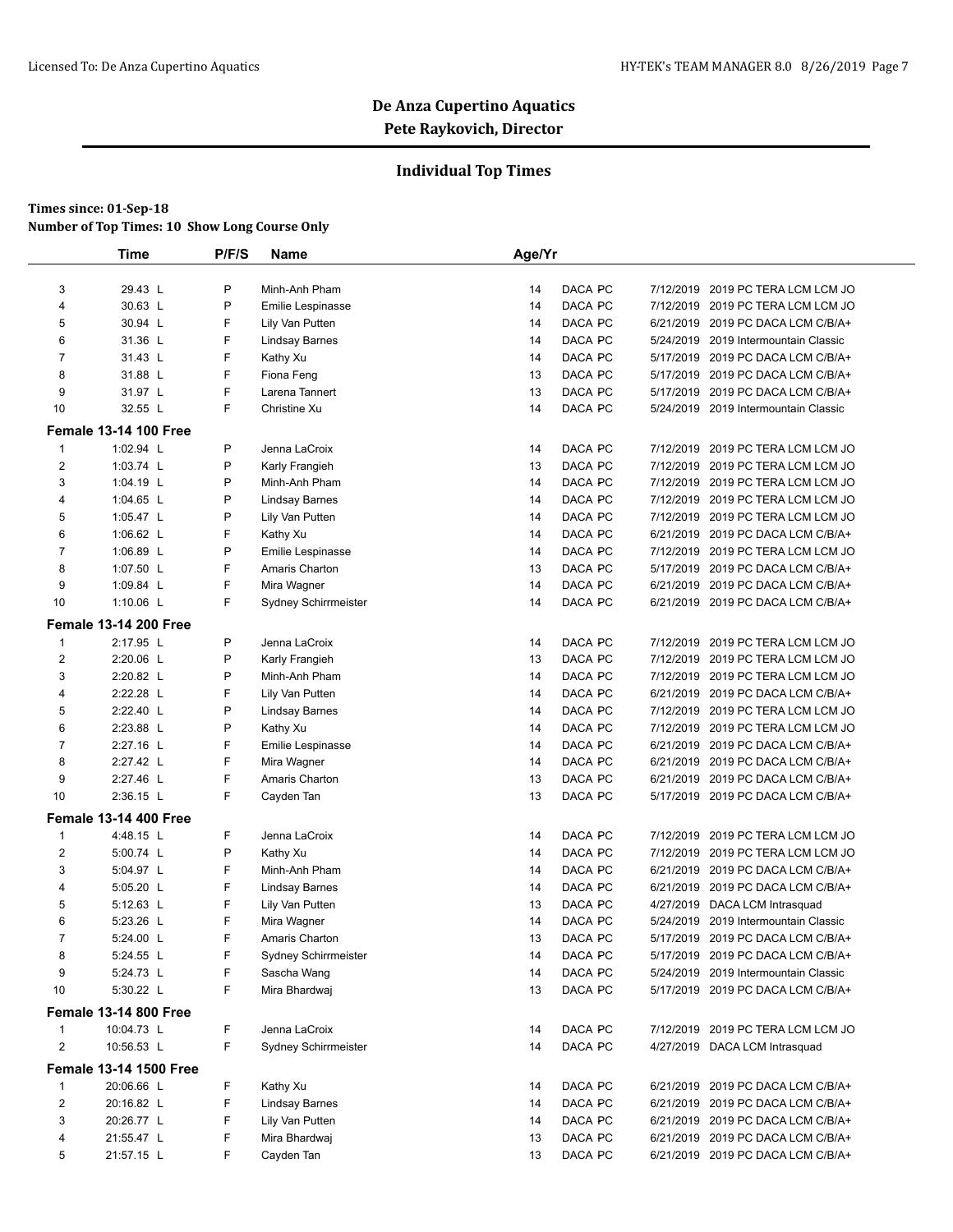### **Individual Top Times**

|                | <b>Time</b>                   | P/F/S | <b>Name</b>           | Age/Yr |         |                                      |
|----------------|-------------------------------|-------|-----------------------|--------|---------|--------------------------------------|
|                |                               |       |                       |        |         |                                      |
| 3              | 29.43 L                       | P     | Minh-Anh Pham         | 14     | DACA PC | 7/12/2019 2019 PC TERA LCM LCM JO    |
| 4              | 30.63 L                       | P     | Emilie Lespinasse     | 14     | DACA PC | 7/12/2019 2019 PC TERA LCM LCM JO    |
| 5              | 30.94 L                       | F     | Lily Van Putten       | 14     | DACA PC | 6/21/2019 2019 PC DACA LCM C/B/A+    |
| 6              | 31.36 L                       | F     | <b>Lindsay Barnes</b> | 14     | DACA PC | 5/24/2019 2019 Intermountain Classic |
| $\overline{7}$ | 31.43 L                       | F     | Kathy Xu              | 14     | DACA PC | 5/17/2019 2019 PC DACA LCM C/B/A+    |
| 8              | 31.88 L                       | F     | Fiona Feng            | 13     | DACA PC | 5/17/2019 2019 PC DACA LCM C/B/A+    |
| 9              | 31.97 L                       | F     | Larena Tannert        | 13     | DACA PC | 5/17/2019 2019 PC DACA LCM C/B/A+    |
| 10             | 32.55 L                       | F     | Christine Xu          | 14     | DACA PC | 5/24/2019 2019 Intermountain Classic |
|                | <b>Female 13-14 100 Free</b>  |       |                       |        |         |                                      |
| 1              | 1:02.94 L                     | P     | Jenna LaCroix         | 14     | DACA PC | 7/12/2019 2019 PC TERA LCM LCM JO    |
| $\overline{2}$ | 1:03.74 L                     | P     | Karly Frangieh        | 13     | DACA PC | 7/12/2019 2019 PC TERA LCM LCM JO    |
| 3              | 1:04.19 L                     | P     | Minh-Anh Pham         | 14     | DACA PC | 7/12/2019 2019 PC TERA LCM LCM JO    |
| 4              | 1:04.65 L                     | P     | Lindsay Barnes        | 14     | DACA PC | 7/12/2019 2019 PC TERA LCM LCM JO    |
| 5              | 1:05.47 L                     | P     | Lily Van Putten       | 14     | DACA PC | 7/12/2019 2019 PC TERA LCM LCM JO    |
| 6              | 1:06.62 L                     | F     | Kathy Xu              | 14     | DACA PC | 6/21/2019 2019 PC DACA LCM C/B/A+    |
| $\overline{7}$ | 1:06.89 L                     | P     | Emilie Lespinasse     | 14     | DACA PC | 7/12/2019 2019 PC TERA LCM LCM JO    |
| 8              | 1:07.50 L                     | F     | Amaris Charton        | 13     | DACA PC | 5/17/2019 2019 PC DACA LCM C/B/A+    |
| 9              | 1:09.84 L                     | F     | Mira Wagner           | 14     | DACA PC | 6/21/2019 2019 PC DACA LCM C/B/A+    |
| 10             | 1:10.06 L                     | F     | Sydney Schirrmeister  | 14     | DACA PC | 6/21/2019 2019 PC DACA LCM C/B/A+    |
|                | <b>Female 13-14 200 Free</b>  |       |                       |        |         |                                      |
| 1              | 2:17.95 L                     | P     | Jenna LaCroix         | 14     | DACA PC | 7/12/2019 2019 PC TERA LCM LCM JO    |
| $\overline{2}$ | 2:20.06 L                     | P     | Karly Frangieh        | 13     | DACA PC | 7/12/2019 2019 PC TERA LCM LCM JO    |
| 3              | 2:20.82 L                     | Ρ     | Minh-Anh Pham         | 14     | DACA PC | 7/12/2019 2019 PC TERA LCM LCM JO    |
| 4              | 2:22.28 L                     | F     | Lily Van Putten       | 14     | DACA PC | 6/21/2019 2019 PC DACA LCM C/B/A+    |
| 5              | 2:22.40 L                     | P     | <b>Lindsay Barnes</b> | 14     | DACA PC | 7/12/2019 2019 PC TERA LCM LCM JO    |
| 6              | 2:23.88 L                     | P     | Kathy Xu              | 14     | DACA PC | 7/12/2019 2019 PC TERA LCM LCM JO    |
| $\overline{7}$ | 2:27.16 L                     | F     | Emilie Lespinasse     | 14     | DACA PC | 6/21/2019 2019 PC DACA LCM C/B/A+    |
| 8              | 2:27.42 L                     | F     | Mira Wagner           | 14     | DACA PC | 6/21/2019 2019 PC DACA LCM C/B/A+    |
| 9              | 2:27.46 L                     | F     | Amaris Charton        | 13     | DACA PC | 6/21/2019 2019 PC DACA LCM C/B/A+    |
| 10             | 2:36.15 L                     | F     | Cayden Tan            | 13     | DACA PC | 5/17/2019 2019 PC DACA LCM C/B/A+    |
|                | <b>Female 13-14 400 Free</b>  |       |                       |        |         |                                      |
| 1              | 4:48.15 L                     | F.    | Jenna LaCroix         | 14     | DACA PC | 7/12/2019 2019 PC TERA LCM LCM JO    |
| 2              | 5:00.74 L                     | P     | Kathy Xu              | 14     | DACA PC | 7/12/2019 2019 PC TERA LCM LCM JO    |
| 3              | 5:04.97 L                     | F     | Minh-Anh Pham         | 14     | DACA PC | 6/21/2019 2019 PC DACA LCM C/B/A+    |
| 4              | 5:05.20 L                     | F     | Lindsay Barnes        | 14     | DACA PC | 6/21/2019 2019 PC DACA LCM C/B/A+    |
| 5              | 5:12.63 L                     | F     | Lily Van Putten       | 13     | DACA PC | 4/27/2019 DACA LCM Intrasquad        |
| 6              | 5:23.26 L                     | F     | Mira Wagner           | 14     | DACA PC | 5/24/2019 2019 Intermountain Classic |
| $\overline{7}$ | 5:24.00 L                     | F     | Amaris Charton        | 13     | DACA PC | 5/17/2019 2019 PC DACA LCM C/B/A+    |
| 8              | 5:24.55 L                     | F     | Sydney Schirrmeister  | 14     | DACA PC | 5/17/2019 2019 PC DACA LCM C/B/A+    |
| 9              | 5:24.73 L                     | F     | Sascha Wang           | 14     | DACA PC | 5/24/2019 2019 Intermountain Classic |
| 10             | 5:30.22 L                     | F     | Mira Bhardwaj         | 13     | DACA PC | 5/17/2019 2019 PC DACA LCM C/B/A+    |
|                | <b>Female 13-14 800 Free</b>  |       |                       |        |         |                                      |
| 1              | 10:04.73 L                    | F     | Jenna LaCroix         | 14     | DACA PC | 7/12/2019 2019 PC TERA LCM LCM JO    |
| $\mathbf{2}$   | 10:56.53 L                    | F     | Sydney Schirrmeister  | 14     | DACA PC | 4/27/2019 DACA LCM Intrasquad        |
|                | <b>Female 13-14 1500 Free</b> |       |                       |        |         |                                      |
| 1              | 20:06.66 L                    | F     | Kathy Xu              | 14     | DACA PC | 6/21/2019 2019 PC DACA LCM C/B/A+    |
| $\mathbf{2}$   | 20:16.82 L                    | F     | <b>Lindsay Barnes</b> | 14     | DACA PC | 6/21/2019 2019 PC DACA LCM C/B/A+    |
| 3              | 20:26.77 L                    | F     | Lily Van Putten       | 14     | DACA PC | 6/21/2019 2019 PC DACA LCM C/B/A+    |
| 4              | 21:55.47 L                    | F     | Mira Bhardwaj         | 13     | DACA PC | 6/21/2019 2019 PC DACA LCM C/B/A+    |
| 5              | 21:57.15 L                    | F     | Cayden Tan            | 13     | DACA PC | 6/21/2019 2019 PC DACA LCM C/B/A+    |
|                |                               |       |                       |        |         |                                      |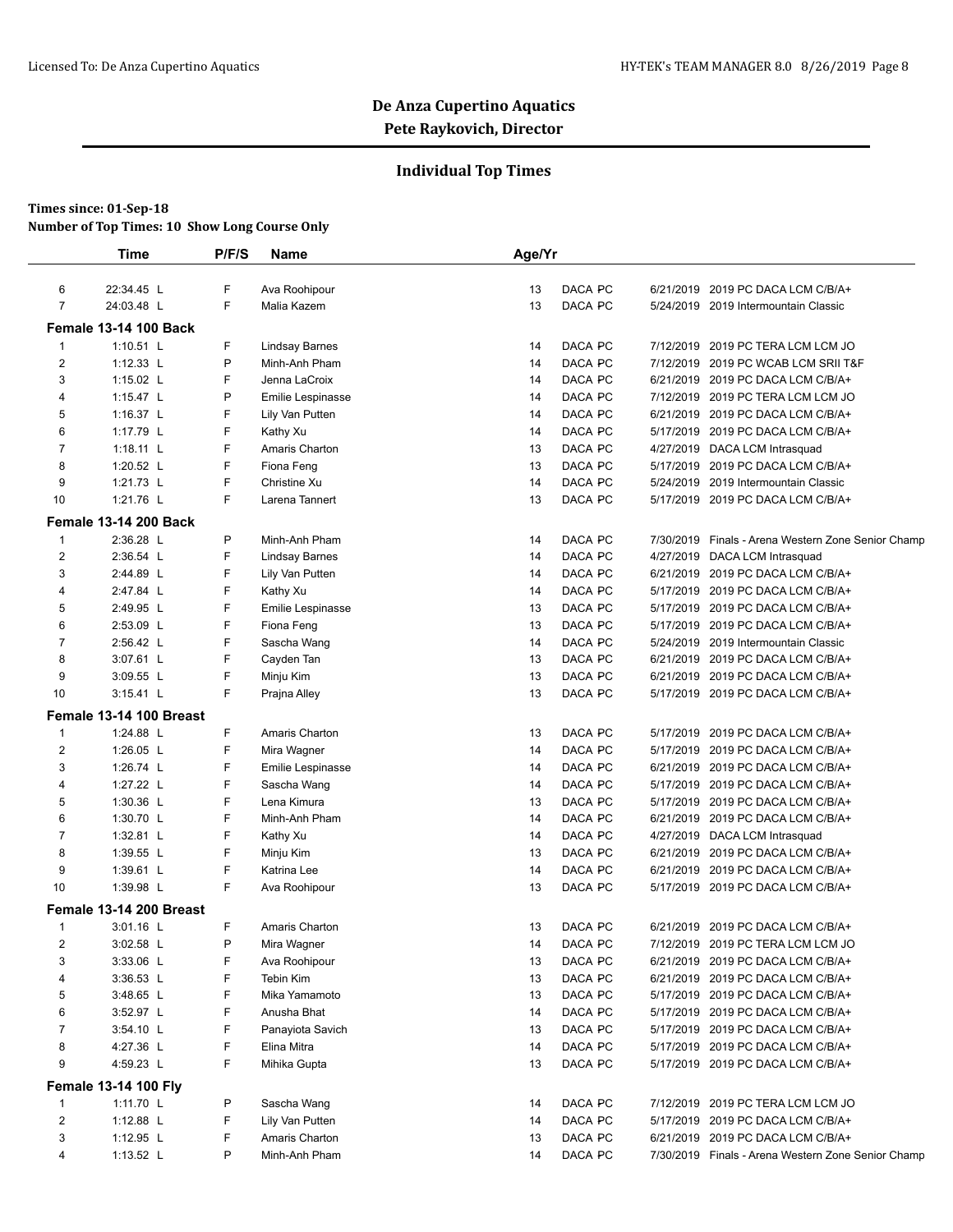### **Individual Top Times**

| 22:34.45 L | F                                                                                                                                                                                                                                                                                                                                                                                                                                                                                                                                                                                                                                                          |                                                                                                                                                                                                                                                                                                                  |                                                                                                                                                                                                                                                                                                                                                                                                                                                                                                                                                                                                                                                                                                        |                                                                                                                                                                                                                            |                                                                                                                                                                                                                                                                                                                                                                                                                                      |                                                    |
|------------|------------------------------------------------------------------------------------------------------------------------------------------------------------------------------------------------------------------------------------------------------------------------------------------------------------------------------------------------------------------------------------------------------------------------------------------------------------------------------------------------------------------------------------------------------------------------------------------------------------------------------------------------------------|------------------------------------------------------------------------------------------------------------------------------------------------------------------------------------------------------------------------------------------------------------------------------------------------------------------|--------------------------------------------------------------------------------------------------------------------------------------------------------------------------------------------------------------------------------------------------------------------------------------------------------------------------------------------------------------------------------------------------------------------------------------------------------------------------------------------------------------------------------------------------------------------------------------------------------------------------------------------------------------------------------------------------------|----------------------------------------------------------------------------------------------------------------------------------------------------------------------------------------------------------------------------|--------------------------------------------------------------------------------------------------------------------------------------------------------------------------------------------------------------------------------------------------------------------------------------------------------------------------------------------------------------------------------------------------------------------------------------|----------------------------------------------------|
|            |                                                                                                                                                                                                                                                                                                                                                                                                                                                                                                                                                                                                                                                            | Ava Roohipour                                                                                                                                                                                                                                                                                                    | 13                                                                                                                                                                                                                                                                                                                                                                                                                                                                                                                                                                                                                                                                                                     | DACA PC                                                                                                                                                                                                                    |                                                                                                                                                                                                                                                                                                                                                                                                                                      | 6/21/2019 2019 PC DACA LCM C/B/A+                  |
|            | F                                                                                                                                                                                                                                                                                                                                                                                                                                                                                                                                                                                                                                                          | Malia Kazem                                                                                                                                                                                                                                                                                                      | 13                                                                                                                                                                                                                                                                                                                                                                                                                                                                                                                                                                                                                                                                                                     | DACA PC                                                                                                                                                                                                                    |                                                                                                                                                                                                                                                                                                                                                                                                                                      | 5/24/2019 2019 Intermountain Classic               |
|            |                                                                                                                                                                                                                                                                                                                                                                                                                                                                                                                                                                                                                                                            |                                                                                                                                                                                                                                                                                                                  |                                                                                                                                                                                                                                                                                                                                                                                                                                                                                                                                                                                                                                                                                                        |                                                                                                                                                                                                                            |                                                                                                                                                                                                                                                                                                                                                                                                                                      |                                                    |
|            |                                                                                                                                                                                                                                                                                                                                                                                                                                                                                                                                                                                                                                                            |                                                                                                                                                                                                                                                                                                                  |                                                                                                                                                                                                                                                                                                                                                                                                                                                                                                                                                                                                                                                                                                        |                                                                                                                                                                                                                            |                                                                                                                                                                                                                                                                                                                                                                                                                                      | 2019 PC TERA LCM LCM JO                            |
|            |                                                                                                                                                                                                                                                                                                                                                                                                                                                                                                                                                                                                                                                            |                                                                                                                                                                                                                                                                                                                  |                                                                                                                                                                                                                                                                                                                                                                                                                                                                                                                                                                                                                                                                                                        |                                                                                                                                                                                                                            |                                                                                                                                                                                                                                                                                                                                                                                                                                      | 7/12/2019 2019 PC WCAB LCM SRII T&F                |
|            |                                                                                                                                                                                                                                                                                                                                                                                                                                                                                                                                                                                                                                                            |                                                                                                                                                                                                                                                                                                                  |                                                                                                                                                                                                                                                                                                                                                                                                                                                                                                                                                                                                                                                                                                        |                                                                                                                                                                                                                            |                                                                                                                                                                                                                                                                                                                                                                                                                                      | 6/21/2019 2019 PC DACA LCM C/B/A+                  |
|            |                                                                                                                                                                                                                                                                                                                                                                                                                                                                                                                                                                                                                                                            |                                                                                                                                                                                                                                                                                                                  |                                                                                                                                                                                                                                                                                                                                                                                                                                                                                                                                                                                                                                                                                                        |                                                                                                                                                                                                                            |                                                                                                                                                                                                                                                                                                                                                                                                                                      | 7/12/2019 2019 PC TERA LCM LCM JO                  |
|            |                                                                                                                                                                                                                                                                                                                                                                                                                                                                                                                                                                                                                                                            |                                                                                                                                                                                                                                                                                                                  |                                                                                                                                                                                                                                                                                                                                                                                                                                                                                                                                                                                                                                                                                                        |                                                                                                                                                                                                                            |                                                                                                                                                                                                                                                                                                                                                                                                                                      | 6/21/2019 2019 PC DACA LCM C/B/A+                  |
|            |                                                                                                                                                                                                                                                                                                                                                                                                                                                                                                                                                                                                                                                            |                                                                                                                                                                                                                                                                                                                  |                                                                                                                                                                                                                                                                                                                                                                                                                                                                                                                                                                                                                                                                                                        |                                                                                                                                                                                                                            |                                                                                                                                                                                                                                                                                                                                                                                                                                      | 5/17/2019 2019 PC DACA LCM C/B/A+                  |
|            |                                                                                                                                                                                                                                                                                                                                                                                                                                                                                                                                                                                                                                                            |                                                                                                                                                                                                                                                                                                                  |                                                                                                                                                                                                                                                                                                                                                                                                                                                                                                                                                                                                                                                                                                        | DACA PC                                                                                                                                                                                                                    |                                                                                                                                                                                                                                                                                                                                                                                                                                      | 4/27/2019 DACA LCM Intrasquad                      |
|            | F                                                                                                                                                                                                                                                                                                                                                                                                                                                                                                                                                                                                                                                          |                                                                                                                                                                                                                                                                                                                  | 13                                                                                                                                                                                                                                                                                                                                                                                                                                                                                                                                                                                                                                                                                                     | DACA PC                                                                                                                                                                                                                    |                                                                                                                                                                                                                                                                                                                                                                                                                                      | 5/17/2019 2019 PC DACA LCM C/B/A+                  |
|            | F                                                                                                                                                                                                                                                                                                                                                                                                                                                                                                                                                                                                                                                          | Christine Xu                                                                                                                                                                                                                                                                                                     | 14                                                                                                                                                                                                                                                                                                                                                                                                                                                                                                                                                                                                                                                                                                     | DACA PC                                                                                                                                                                                                                    |                                                                                                                                                                                                                                                                                                                                                                                                                                      | 5/24/2019 2019 Intermountain Classic               |
|            | F                                                                                                                                                                                                                                                                                                                                                                                                                                                                                                                                                                                                                                                          | Larena Tannert                                                                                                                                                                                                                                                                                                   | 13                                                                                                                                                                                                                                                                                                                                                                                                                                                                                                                                                                                                                                                                                                     | DACA PC                                                                                                                                                                                                                    |                                                                                                                                                                                                                                                                                                                                                                                                                                      | 5/17/2019 2019 PC DACA LCM C/B/A+                  |
|            |                                                                                                                                                                                                                                                                                                                                                                                                                                                                                                                                                                                                                                                            |                                                                                                                                                                                                                                                                                                                  |                                                                                                                                                                                                                                                                                                                                                                                                                                                                                                                                                                                                                                                                                                        |                                                                                                                                                                                                                            |                                                                                                                                                                                                                                                                                                                                                                                                                                      |                                                    |
|            |                                                                                                                                                                                                                                                                                                                                                                                                                                                                                                                                                                                                                                                            |                                                                                                                                                                                                                                                                                                                  |                                                                                                                                                                                                                                                                                                                                                                                                                                                                                                                                                                                                                                                                                                        |                                                                                                                                                                                                                            |                                                                                                                                                                                                                                                                                                                                                                                                                                      | 7/30/2019 Finals - Arena Western Zone Senior Champ |
|            |                                                                                                                                                                                                                                                                                                                                                                                                                                                                                                                                                                                                                                                            |                                                                                                                                                                                                                                                                                                                  |                                                                                                                                                                                                                                                                                                                                                                                                                                                                                                                                                                                                                                                                                                        |                                                                                                                                                                                                                            |                                                                                                                                                                                                                                                                                                                                                                                                                                      | 4/27/2019 DACA LCM Intrasquad                      |
|            |                                                                                                                                                                                                                                                                                                                                                                                                                                                                                                                                                                                                                                                            |                                                                                                                                                                                                                                                                                                                  |                                                                                                                                                                                                                                                                                                                                                                                                                                                                                                                                                                                                                                                                                                        |                                                                                                                                                                                                                            |                                                                                                                                                                                                                                                                                                                                                                                                                                      | 6/21/2019 2019 PC DACA LCM C/B/A+                  |
|            |                                                                                                                                                                                                                                                                                                                                                                                                                                                                                                                                                                                                                                                            |                                                                                                                                                                                                                                                                                                                  |                                                                                                                                                                                                                                                                                                                                                                                                                                                                                                                                                                                                                                                                                                        |                                                                                                                                                                                                                            |                                                                                                                                                                                                                                                                                                                                                                                                                                      | 5/17/2019 2019 PC DACA LCM C/B/A+                  |
|            |                                                                                                                                                                                                                                                                                                                                                                                                                                                                                                                                                                                                                                                            |                                                                                                                                                                                                                                                                                                                  |                                                                                                                                                                                                                                                                                                                                                                                                                                                                                                                                                                                                                                                                                                        |                                                                                                                                                                                                                            |                                                                                                                                                                                                                                                                                                                                                                                                                                      | 5/17/2019 2019 PC DACA LCM C/B/A+                  |
|            |                                                                                                                                                                                                                                                                                                                                                                                                                                                                                                                                                                                                                                                            |                                                                                                                                                                                                                                                                                                                  |                                                                                                                                                                                                                                                                                                                                                                                                                                                                                                                                                                                                                                                                                                        |                                                                                                                                                                                                                            |                                                                                                                                                                                                                                                                                                                                                                                                                                      | 5/17/2019 2019 PC DACA LCM C/B/A+                  |
|            |                                                                                                                                                                                                                                                                                                                                                                                                                                                                                                                                                                                                                                                            |                                                                                                                                                                                                                                                                                                                  |                                                                                                                                                                                                                                                                                                                                                                                                                                                                                                                                                                                                                                                                                                        |                                                                                                                                                                                                                            |                                                                                                                                                                                                                                                                                                                                                                                                                                      | 5/24/2019 2019 Intermountain Classic               |
|            |                                                                                                                                                                                                                                                                                                                                                                                                                                                                                                                                                                                                                                                            |                                                                                                                                                                                                                                                                                                                  |                                                                                                                                                                                                                                                                                                                                                                                                                                                                                                                                                                                                                                                                                                        |                                                                                                                                                                                                                            |                                                                                                                                                                                                                                                                                                                                                                                                                                      | 6/21/2019 2019 PC DACA LCM C/B/A+                  |
|            |                                                                                                                                                                                                                                                                                                                                                                                                                                                                                                                                                                                                                                                            |                                                                                                                                                                                                                                                                                                                  |                                                                                                                                                                                                                                                                                                                                                                                                                                                                                                                                                                                                                                                                                                        |                                                                                                                                                                                                                            |                                                                                                                                                                                                                                                                                                                                                                                                                                      | 6/21/2019 2019 PC DACA LCM C/B/A+                  |
|            | F                                                                                                                                                                                                                                                                                                                                                                                                                                                                                                                                                                                                                                                          |                                                                                                                                                                                                                                                                                                                  | 13                                                                                                                                                                                                                                                                                                                                                                                                                                                                                                                                                                                                                                                                                                     | DACA PC                                                                                                                                                                                                                    |                                                                                                                                                                                                                                                                                                                                                                                                                                      | 5/17/2019 2019 PC DACA LCM C/B/A+                  |
|            |                                                                                                                                                                                                                                                                                                                                                                                                                                                                                                                                                                                                                                                            |                                                                                                                                                                                                                                                                                                                  |                                                                                                                                                                                                                                                                                                                                                                                                                                                                                                                                                                                                                                                                                                        |                                                                                                                                                                                                                            |                                                                                                                                                                                                                                                                                                                                                                                                                                      |                                                    |
|            |                                                                                                                                                                                                                                                                                                                                                                                                                                                                                                                                                                                                                                                            |                                                                                                                                                                                                                                                                                                                  |                                                                                                                                                                                                                                                                                                                                                                                                                                                                                                                                                                                                                                                                                                        |                                                                                                                                                                                                                            |                                                                                                                                                                                                                                                                                                                                                                                                                                      | 5/17/2019 2019 PC DACA LCM C/B/A+                  |
|            |                                                                                                                                                                                                                                                                                                                                                                                                                                                                                                                                                                                                                                                            |                                                                                                                                                                                                                                                                                                                  |                                                                                                                                                                                                                                                                                                                                                                                                                                                                                                                                                                                                                                                                                                        |                                                                                                                                                                                                                            |                                                                                                                                                                                                                                                                                                                                                                                                                                      | 5/17/2019 2019 PC DACA LCM C/B/A+                  |
|            |                                                                                                                                                                                                                                                                                                                                                                                                                                                                                                                                                                                                                                                            |                                                                                                                                                                                                                                                                                                                  |                                                                                                                                                                                                                                                                                                                                                                                                                                                                                                                                                                                                                                                                                                        |                                                                                                                                                                                                                            |                                                                                                                                                                                                                                                                                                                                                                                                                                      | 6/21/2019 2019 PC DACA LCM C/B/A+                  |
|            |                                                                                                                                                                                                                                                                                                                                                                                                                                                                                                                                                                                                                                                            |                                                                                                                                                                                                                                                                                                                  |                                                                                                                                                                                                                                                                                                                                                                                                                                                                                                                                                                                                                                                                                                        |                                                                                                                                                                                                                            |                                                                                                                                                                                                                                                                                                                                                                                                                                      | 5/17/2019 2019 PC DACA LCM C/B/A+                  |
|            |                                                                                                                                                                                                                                                                                                                                                                                                                                                                                                                                                                                                                                                            |                                                                                                                                                                                                                                                                                                                  |                                                                                                                                                                                                                                                                                                                                                                                                                                                                                                                                                                                                                                                                                                        |                                                                                                                                                                                                                            |                                                                                                                                                                                                                                                                                                                                                                                                                                      | 5/17/2019 2019 PC DACA LCM C/B/A+                  |
|            |                                                                                                                                                                                                                                                                                                                                                                                                                                                                                                                                                                                                                                                            |                                                                                                                                                                                                                                                                                                                  |                                                                                                                                                                                                                                                                                                                                                                                                                                                                                                                                                                                                                                                                                                        |                                                                                                                                                                                                                            |                                                                                                                                                                                                                                                                                                                                                                                                                                      | 6/21/2019 2019 PC DACA LCM C/B/A+                  |
|            |                                                                                                                                                                                                                                                                                                                                                                                                                                                                                                                                                                                                                                                            |                                                                                                                                                                                                                                                                                                                  |                                                                                                                                                                                                                                                                                                                                                                                                                                                                                                                                                                                                                                                                                                        |                                                                                                                                                                                                                            |                                                                                                                                                                                                                                                                                                                                                                                                                                      | 4/27/2019 DACA LCM Intrasquad                      |
|            |                                                                                                                                                                                                                                                                                                                                                                                                                                                                                                                                                                                                                                                            |                                                                                                                                                                                                                                                                                                                  |                                                                                                                                                                                                                                                                                                                                                                                                                                                                                                                                                                                                                                                                                                        |                                                                                                                                                                                                                            |                                                                                                                                                                                                                                                                                                                                                                                                                                      | 6/21/2019 2019 PC DACA LCM C/B/A+                  |
|            |                                                                                                                                                                                                                                                                                                                                                                                                                                                                                                                                                                                                                                                            |                                                                                                                                                                                                                                                                                                                  |                                                                                                                                                                                                                                                                                                                                                                                                                                                                                                                                                                                                                                                                                                        |                                                                                                                                                                                                                            |                                                                                                                                                                                                                                                                                                                                                                                                                                      | 6/21/2019 2019 PC DACA LCM C/B/A+                  |
|            | F                                                                                                                                                                                                                                                                                                                                                                                                                                                                                                                                                                                                                                                          |                                                                                                                                                                                                                                                                                                                  | 13                                                                                                                                                                                                                                                                                                                                                                                                                                                                                                                                                                                                                                                                                                     |                                                                                                                                                                                                                            |                                                                                                                                                                                                                                                                                                                                                                                                                                      | 5/17/2019 2019 PC DACA LCM C/B/A+                  |
|            |                                                                                                                                                                                                                                                                                                                                                                                                                                                                                                                                                                                                                                                            |                                                                                                                                                                                                                                                                                                                  |                                                                                                                                                                                                                                                                                                                                                                                                                                                                                                                                                                                                                                                                                                        |                                                                                                                                                                                                                            |                                                                                                                                                                                                                                                                                                                                                                                                                                      |                                                    |
|            |                                                                                                                                                                                                                                                                                                                                                                                                                                                                                                                                                                                                                                                            |                                                                                                                                                                                                                                                                                                                  |                                                                                                                                                                                                                                                                                                                                                                                                                                                                                                                                                                                                                                                                                                        |                                                                                                                                                                                                                            |                                                                                                                                                                                                                                                                                                                                                                                                                                      | 6/21/2019 2019 PC DACA LCM C/B/A+                  |
|            |                                                                                                                                                                                                                                                                                                                                                                                                                                                                                                                                                                                                                                                            |                                                                                                                                                                                                                                                                                                                  |                                                                                                                                                                                                                                                                                                                                                                                                                                                                                                                                                                                                                                                                                                        |                                                                                                                                                                                                                            |                                                                                                                                                                                                                                                                                                                                                                                                                                      | 7/12/2019 2019 PC TERA LCM LCM JO                  |
|            |                                                                                                                                                                                                                                                                                                                                                                                                                                                                                                                                                                                                                                                            |                                                                                                                                                                                                                                                                                                                  |                                                                                                                                                                                                                                                                                                                                                                                                                                                                                                                                                                                                                                                                                                        |                                                                                                                                                                                                                            |                                                                                                                                                                                                                                                                                                                                                                                                                                      | 6/21/2019 2019 PC DACA LCM C/B/A+                  |
|            |                                                                                                                                                                                                                                                                                                                                                                                                                                                                                                                                                                                                                                                            |                                                                                                                                                                                                                                                                                                                  |                                                                                                                                                                                                                                                                                                                                                                                                                                                                                                                                                                                                                                                                                                        |                                                                                                                                                                                                                            |                                                                                                                                                                                                                                                                                                                                                                                                                                      | 6/21/2019 2019 PC DACA LCM C/B/A+                  |
|            |                                                                                                                                                                                                                                                                                                                                                                                                                                                                                                                                                                                                                                                            |                                                                                                                                                                                                                                                                                                                  |                                                                                                                                                                                                                                                                                                                                                                                                                                                                                                                                                                                                                                                                                                        |                                                                                                                                                                                                                            |                                                                                                                                                                                                                                                                                                                                                                                                                                      | 5/17/2019 2019 PC DACA LCM C/B/A+                  |
|            |                                                                                                                                                                                                                                                                                                                                                                                                                                                                                                                                                                                                                                                            |                                                                                                                                                                                                                                                                                                                  |                                                                                                                                                                                                                                                                                                                                                                                                                                                                                                                                                                                                                                                                                                        |                                                                                                                                                                                                                            |                                                                                                                                                                                                                                                                                                                                                                                                                                      | 5/17/2019 2019 PC DACA LCM C/B/A+                  |
|            |                                                                                                                                                                                                                                                                                                                                                                                                                                                                                                                                                                                                                                                            |                                                                                                                                                                                                                                                                                                                  |                                                                                                                                                                                                                                                                                                                                                                                                                                                                                                                                                                                                                                                                                                        |                                                                                                                                                                                                                            |                                                                                                                                                                                                                                                                                                                                                                                                                                      | 5/17/2019 2019 PC DACA LCM C/B/A+                  |
|            |                                                                                                                                                                                                                                                                                                                                                                                                                                                                                                                                                                                                                                                            |                                                                                                                                                                                                                                                                                                                  |                                                                                                                                                                                                                                                                                                                                                                                                                                                                                                                                                                                                                                                                                                        |                                                                                                                                                                                                                            |                                                                                                                                                                                                                                                                                                                                                                                                                                      | 5/17/2019 2019 PC DACA LCM C/B/A+                  |
|            |                                                                                                                                                                                                                                                                                                                                                                                                                                                                                                                                                                                                                                                            |                                                                                                                                                                                                                                                                                                                  |                                                                                                                                                                                                                                                                                                                                                                                                                                                                                                                                                                                                                                                                                                        |                                                                                                                                                                                                                            |                                                                                                                                                                                                                                                                                                                                                                                                                                      | 5/17/2019 2019 PC DACA LCM C/B/A+                  |
|            |                                                                                                                                                                                                                                                                                                                                                                                                                                                                                                                                                                                                                                                            |                                                                                                                                                                                                                                                                                                                  |                                                                                                                                                                                                                                                                                                                                                                                                                                                                                                                                                                                                                                                                                                        |                                                                                                                                                                                                                            |                                                                                                                                                                                                                                                                                                                                                                                                                                      |                                                    |
|            |                                                                                                                                                                                                                                                                                                                                                                                                                                                                                                                                                                                                                                                            |                                                                                                                                                                                                                                                                                                                  |                                                                                                                                                                                                                                                                                                                                                                                                                                                                                                                                                                                                                                                                                                        |                                                                                                                                                                                                                            |                                                                                                                                                                                                                                                                                                                                                                                                                                      |                                                    |
|            |                                                                                                                                                                                                                                                                                                                                                                                                                                                                                                                                                                                                                                                            |                                                                                                                                                                                                                                                                                                                  |                                                                                                                                                                                                                                                                                                                                                                                                                                                                                                                                                                                                                                                                                                        |                                                                                                                                                                                                                            |                                                                                                                                                                                                                                                                                                                                                                                                                                      | 7/12/2019 2019 PC TERA LCM LCM JO                  |
|            |                                                                                                                                                                                                                                                                                                                                                                                                                                                                                                                                                                                                                                                            |                                                                                                                                                                                                                                                                                                                  |                                                                                                                                                                                                                                                                                                                                                                                                                                                                                                                                                                                                                                                                                                        |                                                                                                                                                                                                                            |                                                                                                                                                                                                                                                                                                                                                                                                                                      | 5/17/2019 2019 PC DACA LCM C/B/A+                  |
|            |                                                                                                                                                                                                                                                                                                                                                                                                                                                                                                                                                                                                                                                            |                                                                                                                                                                                                                                                                                                                  |                                                                                                                                                                                                                                                                                                                                                                                                                                                                                                                                                                                                                                                                                                        |                                                                                                                                                                                                                            |                                                                                                                                                                                                                                                                                                                                                                                                                                      | 6/21/2019 2019 PC DACA LCM C/B/A+                  |
|            |                                                                                                                                                                                                                                                                                                                                                                                                                                                                                                                                                                                                                                                            |                                                                                                                                                                                                                                                                                                                  |                                                                                                                                                                                                                                                                                                                                                                                                                                                                                                                                                                                                                                                                                                        |                                                                                                                                                                                                                            |                                                                                                                                                                                                                                                                                                                                                                                                                                      | 7/30/2019 Finals - Arena Western Zone Senior Champ |
|            | 24:03.48 L<br>$1:10.51$ L<br>$1:12.33$ L<br>1:15.02 $L$<br>1:15.47 $L$<br>1:16.37 L<br>1:17.79 L<br>$1:18.11$ L<br>1:20.52 L<br>1:21.73 $L$<br>1:21.76 L<br>2:36.28 L<br>2:36.54 L<br>2:44.89 L<br>2:47.84 L<br>2:49.95 L<br>2:53.09 L<br>2:56.42 L<br>3:07.61 L<br>$3:09.55$ L<br>$3:15.41$ L<br>1:24.88 L<br>1:26.05 L<br>1:26.74 L<br>1:27.22 L<br>1:30.36 L<br>1:30.70 L<br>1:32.81 L<br>1:39.55 L<br>1:39.61 L<br>1:39.98 L<br>3:01.16 L<br>3:02.58 L<br>3:33.06 L<br>$3:36.53$ L<br>3:48.65 L<br>3:52.97 L<br>$3:54.10$ L<br>4:27.36 L<br>4:59.23 L<br><b>Female 13-14 100 Fly</b><br>1:11.70 $L$<br>1:12.88 $L$<br>1:12.95 $L$<br>1:13.52 $\lfloor$ | <b>Female 13-14 100 Back</b><br>F<br>P<br>F<br>P<br>F<br>F<br>F<br><b>Female 13-14 200 Back</b><br>P<br>F<br>F<br>F<br>F<br>F<br>F<br>F<br>F<br>Female 13-14 100 Breast<br>F<br>F<br>F<br>F<br>F<br>F<br>F<br>F<br>F<br>Female 13-14 200 Breast<br>F<br>P<br>F<br>F<br>F<br>F<br>F<br>F<br>F<br>P<br>F<br>F<br>P | <b>Lindsay Barnes</b><br>Minh-Anh Pham<br>Jenna LaCroix<br>Emilie Lespinasse<br>Lily Van Putten<br>Kathy Xu<br>Amaris Charton<br>Fiona Feng<br>Minh-Anh Pham<br><b>Lindsay Barnes</b><br>Lily Van Putten<br>Kathy Xu<br>Emilie Lespinasse<br>Fiona Feng<br>Sascha Wang<br>Cayden Tan<br>Minju Kim<br>Prajna Alley<br>Amaris Charton<br>Mira Wagner<br>Emilie Lespinasse<br>Sascha Wang<br>Lena Kimura<br>Minh-Anh Pham<br>Kathy Xu<br>Minju Kim<br>Katrina Lee<br>Ava Roohipour<br>Amaris Charton<br>Mira Wagner<br>Ava Roohipour<br>Tebin Kim<br>Mika Yamamoto<br>Anusha Bhat<br>Panayiota Savich<br>Elina Mitra<br>Mihika Gupta<br>Sascha Wang<br>Lily Van Putten<br>Amaris Charton<br>Minh-Anh Pham | 14<br>14<br>14<br>14<br>14<br>14<br>13<br>14<br>14<br>14<br>14<br>13<br>13<br>14<br>13<br>13<br>13<br>14<br>14<br>14<br>13<br>14<br>14<br>13<br>14<br>13<br>13<br>13<br>13<br>14<br>13<br>14<br>13<br>14<br>14<br>13<br>14 | DACA PC<br>DACA PC<br>DACA PC<br>DACA PC<br>DACA PC<br>DACA PC<br>DACA PC<br>DACA PC<br>DACA PC<br>DACA PC<br>DACA PC<br>DACA PC<br>DACA PC<br>DACA PC<br>DACA PC<br>DACA PC<br>DACA PC<br>DACA PC<br>DACA PC<br>DACA PC<br>DACA PC<br>DACA PC<br>DACA PC<br>DACA PC<br>DACA PC<br>DACA PC<br>DACA PC<br>14<br>DACA PC<br>DACA PC<br>DACA PC<br>DACA PC<br>DACA PC<br>DACA PC<br>DACA PC<br>DACA PC<br>DACA PC<br>DACA PC<br>DACA PC | 7/12/2019                                          |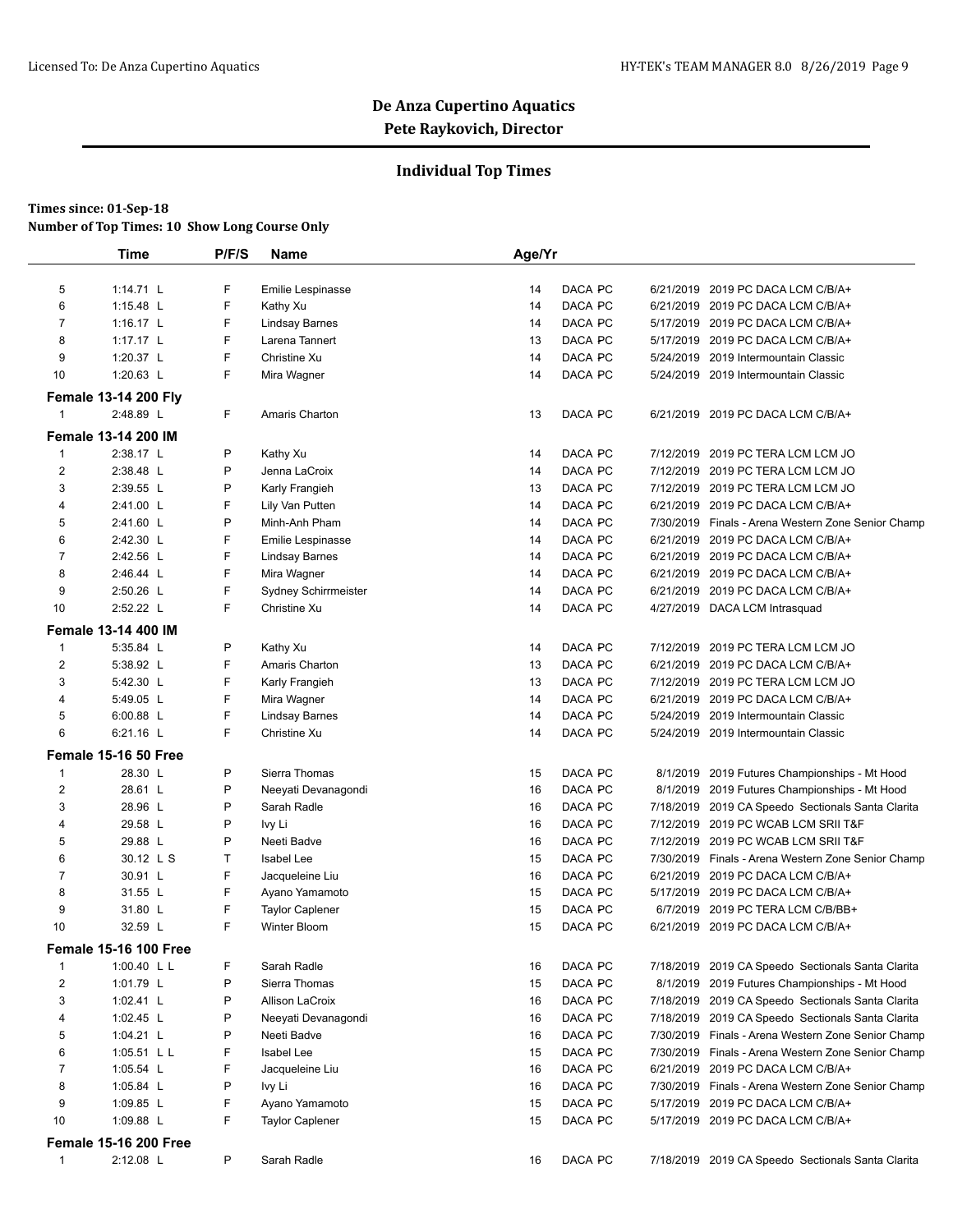### **Individual Top Times**

|                | <b>Time</b>                  | P/F/S | Name                     | Age/Yr |         |           |                                                    |
|----------------|------------------------------|-------|--------------------------|--------|---------|-----------|----------------------------------------------------|
| 5              | 1:14.71 L                    | F     | <b>Emilie Lespinasse</b> | 14     | DACA PC |           | 6/21/2019 2019 PC DACA LCM C/B/A+                  |
| 6              | 1:15.48 L                    | F     | Kathy Xu                 | 14     | DACA PC |           | 6/21/2019 2019 PC DACA LCM C/B/A+                  |
| $\overline{7}$ | 1:16.17 $L$                  | F     | <b>Lindsay Barnes</b>    | 14     | DACA PC |           | 5/17/2019 2019 PC DACA LCM C/B/A+                  |
| 8              | 1:17.17 L                    | F     | Larena Tannert           | 13     | DACA PC |           | 5/17/2019 2019 PC DACA LCM C/B/A+                  |
| 9              | 1:20.37 L                    | F     | Christine Xu             | 14     | DACA PC |           | 5/24/2019 2019 Intermountain Classic               |
| 10             | 1:20.63 L                    | F     | Mira Wagner              | 14     | DACA PC |           | 5/24/2019 2019 Intermountain Classic               |
|                | <b>Female 13-14 200 Fly</b>  |       |                          |        |         |           |                                                    |
| $\mathbf{1}$   | 2:48.89 L                    | F     | Amaris Charton           | 13     | DACA PC |           | 6/21/2019 2019 PC DACA LCM C/B/A+                  |
|                | <b>Female 13-14 200 IM</b>   |       |                          |        |         |           |                                                    |
| 1              | 2:38.17 L                    | P     | Kathy Xu                 | 14     | DACA PC | 7/12/2019 | 2019 PC TERA LCM LCM JO                            |
| $\overline{2}$ | 2:38.48 L                    | P     | Jenna LaCroix            | 14     | DACA PC |           | 7/12/2019 2019 PC TERA LCM LCM JO                  |
| 3              | 2:39.55 L                    | P     | Karly Frangieh           | 13     | DACA PC |           | 7/12/2019 2019 PC TERA LCM LCM JO                  |
| 4              | 2:41.00 L                    | F     | Lily Van Putten          | 14     | DACA PC |           | 6/21/2019 2019 PC DACA LCM C/B/A+                  |
| 5              | 2:41.60 L                    | P     | Minh-Anh Pham            | 14     | DACA PC |           | 7/30/2019 Finals - Arena Western Zone Senior Champ |
| 6              | 2:42.30 L                    | F     | Emilie Lespinasse        | 14     | DACA PC |           | 6/21/2019 2019 PC DACA LCM C/B/A+                  |
| $\overline{7}$ | 2:42.56 L                    | F     | <b>Lindsay Barnes</b>    | 14     | DACA PC |           | 6/21/2019 2019 PC DACA LCM C/B/A+                  |
| 8              | 2:46.44 L                    | F     | Mira Wagner              | 14     | DACA PC |           | 6/21/2019 2019 PC DACA LCM C/B/A+                  |
| 9              | 2:50.26 L                    | F     | Sydney Schirrmeister     | 14     | DACA PC |           | 6/21/2019 2019 PC DACA LCM C/B/A+                  |
| 10             | 2:52.22 L                    | F     | Christine Xu             | 14     | DACA PC |           | 4/27/2019 DACA LCM Intrasquad                      |
|                | Female 13-14 400 IM          |       |                          |        |         |           |                                                    |
| $\mathbf{1}$   | 5:35.84 L                    | P     | Kathy Xu                 | 14     | DACA PC |           | 7/12/2019 2019 PC TERA LCM LCM JO                  |
| 2              | 5:38.92 L                    | F     | Amaris Charton           | 13     | DACA PC |           | 6/21/2019 2019 PC DACA LCM C/B/A+                  |
| 3              | 5:42.30 L                    | F     | Karly Frangieh           | 13     | DACA PC |           | 7/12/2019 2019 PC TERA LCM LCM JO                  |
| 4              | 5:49.05 L                    | F     | Mira Wagner              | 14     | DACA PC |           | 6/21/2019 2019 PC DACA LCM C/B/A+                  |
| 5              | 6:00.88 L                    | F     | <b>Lindsay Barnes</b>    | 14     | DACA PC |           | 5/24/2019 2019 Intermountain Classic               |
| 6              | $6:21.16$ L                  | F     | Christine Xu             | 14     | DACA PC |           | 5/24/2019 2019 Intermountain Classic               |
|                | Female 15-16 50 Free         |       |                          |        |         |           |                                                    |
| 1              | 28.30 L                      | P     | Sierra Thomas            | 15     | DACA PC |           | 8/1/2019 2019 Futures Championships - Mt Hood      |
| 2              | 28.61 L                      | P     | Neeyati Devanagondi      | 16     | DACA PC |           | 8/1/2019 2019 Futures Championships - Mt Hood      |
| 3              | 28.96 L                      | P     | Sarah Radle              | 16     | DACA PC |           | 7/18/2019 2019 CA Speedo Sectionals Santa Clarita  |
| 4              | 29.58 L                      | P     | Ivy Li                   | 16     | DACA PC |           | 7/12/2019 2019 PC WCAB LCM SRII T&F                |
| 5              | 29.88 L                      | P     | Neeti Badve              | 16     | DACA PC |           | 7/12/2019 2019 PC WCAB LCM SRII T&F                |
| 6              | 30.12 L S                    | т     | <b>Isabel Lee</b>        | 15     | DACA PC |           | 7/30/2019 Finals - Arena Western Zone Senior Champ |
| 7              | 30.91 L                      | F     | Jacqueleine Liu          | 16     | DACA PC |           | 6/21/2019 2019 PC DACA LCM C/B/A+                  |
| 8              | 31.55 L                      | F     | Ayano Yamamoto           | 15     | DACA PC |           | 5/17/2019 2019 PC DACA LCM C/B/A+                  |
| 9              | 31.80 L                      | F     | <b>Taylor Caplener</b>   | 15     | DACA PC | 6/7/2019  | 2019 PC TERA LCM C/B/BB+                           |
| 10             | 32.59 L                      | F     | Winter Bloom             | 15     | DACA PC |           | 6/21/2019 2019 PC DACA LCM C/B/A+                  |
|                | <b>Female 15-16 100 Free</b> |       |                          |        |         |           |                                                    |
| $\mathbf{1}$   | 1:00.40 L L                  | F     | Sarah Radle              | 16     | DACA PC |           | 7/18/2019 2019 CA Speedo Sectionals Santa Clarita  |
| 2              | 1:01.79 L                    | P     | Sierra Thomas            | 15     | DACA PC |           | 8/1/2019 2019 Futures Championships - Mt Hood      |
| 3              | 1:02.41 $L$                  | P     | Allison LaCroix          | 16     | DACA PC |           | 7/18/2019 2019 CA Speedo Sectionals Santa Clarita  |
| 4              | 1:02.45 $L$                  | P     | Neeyati Devanagondi      | 16     | DACA PC |           | 7/18/2019 2019 CA Speedo Sectionals Santa Clarita  |
| 5              | 1:04.21 $L$                  | P     | Neeti Badve              | 16     | DACA PC |           | 7/30/2019 Finals - Arena Western Zone Senior Champ |
| 6              | 1:05.51 L L                  | F     | <b>Isabel Lee</b>        | 15     | DACA PC |           | 7/30/2019 Finals - Arena Western Zone Senior Champ |
| 7              | 1:05.54 $L$                  | F     | Jacqueleine Liu          | 16     | DACA PC |           | 6/21/2019 2019 PC DACA LCM C/B/A+                  |
| 8              | 1:05.84 $L$                  | P     | lvy Li                   | 16     | DACA PC |           | 7/30/2019 Finals - Arena Western Zone Senior Champ |
| 9              | 1:09.85 $L$                  | F     | Ayano Yamamoto           | 15     | DACA PC |           | 5/17/2019 2019 PC DACA LCM C/B/A+                  |
| 10             | 1:09.88 $L$                  | F     | <b>Taylor Caplener</b>   | 15     | DACA PC |           | 5/17/2019 2019 PC DACA LCM C/B/A+                  |
|                |                              |       |                          |        |         |           |                                                    |
|                | <b>Female 15-16 200 Free</b> |       |                          |        |         |           |                                                    |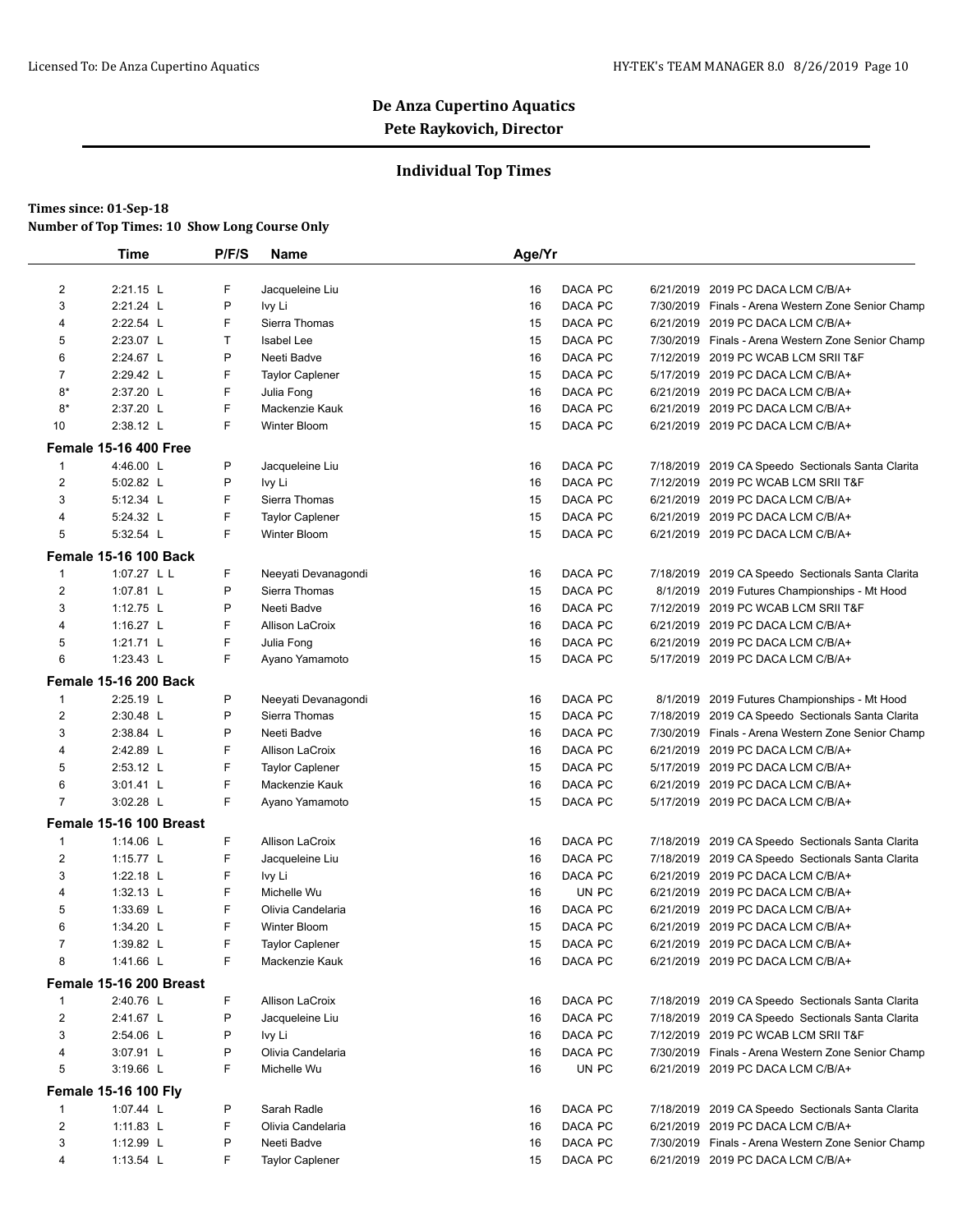### **Individual Top Times**

| 6/21/2019 2019 PC DACA LCM C/B/A+                  |
|----------------------------------------------------|
| 7/30/2019 Finals - Arena Western Zone Senior Champ |
| 6/21/2019 2019 PC DACA LCM C/B/A+                  |
| 7/30/2019 Finals - Arena Western Zone Senior Champ |
| 7/12/2019 2019 PC WCAB LCM SRII T&F                |
| 5/17/2019 2019 PC DACA LCM C/B/A+                  |
| 6/21/2019 2019 PC DACA LCM C/B/A+                  |
| 6/21/2019 2019 PC DACA LCM C/B/A+                  |
| 6/21/2019 2019 PC DACA LCM C/B/A+                  |
|                                                    |
| 7/18/2019 2019 CA Speedo Sectionals Santa Clarita  |
| 7/12/2019 2019 PC WCAB LCM SRII T&F                |
| 6/21/2019 2019 PC DACA LCM C/B/A+                  |
| 6/21/2019 2019 PC DACA LCM C/B/A+                  |
| 6/21/2019 2019 PC DACA LCM C/B/A+                  |
|                                                    |
| 7/18/2019 2019 CA Speedo Sectionals Santa Clarita  |
| 8/1/2019 2019 Futures Championships - Mt Hood      |
| 7/12/2019 2019 PC WCAB LCM SRII T&F                |
| 6/21/2019 2019 PC DACA LCM C/B/A+                  |
| 6/21/2019 2019 PC DACA LCM C/B/A+                  |
| 5/17/2019 2019 PC DACA LCM C/B/A+                  |
|                                                    |
| 8/1/2019 2019 Futures Championships - Mt Hood      |
| 7/18/2019 2019 CA Speedo Sectionals Santa Clarita  |
| 7/30/2019 Finals - Arena Western Zone Senior Champ |
| 6/21/2019 2019 PC DACA LCM C/B/A+                  |
| 5/17/2019 2019 PC DACA LCM C/B/A+                  |
| 6/21/2019 2019 PC DACA LCM C/B/A+                  |
| 5/17/2019 2019 PC DACA LCM C/B/A+                  |
|                                                    |
| 7/18/2019 2019 CA Speedo Sectionals Santa Clarita  |
| 7/18/2019 2019 CA Speedo Sectionals Santa Clarita  |
| 6/21/2019 2019 PC DACA LCM C/B/A+                  |
| 6/21/2019 2019 PC DACA LCM C/B/A+                  |
| 6/21/2019 2019 PC DACA LCM C/B/A+                  |
| 6/21/2019 2019 PC DACA LCM C/B/A+                  |
| 6/21/2019 2019 PC DACA LCM C/B/A+                  |
| 6/21/2019 2019 PC DACA LCM C/B/A+                  |
|                                                    |
| 7/18/2019 2019 CA Speedo Sectionals Santa Clarita  |
| 7/18/2019 2019 CA Speedo Sectionals Santa Clarita  |
| 7/12/2019 2019 PC WCAB LCM SRII T&F                |
| 7/30/2019 Finals - Arena Western Zone Senior Champ |
| 6/21/2019 2019 PC DACA LCM C/B/A+                  |
|                                                    |
|                                                    |
| 7/18/2019 2019 CA Speedo Sectionals Santa Clarita  |
| 6/21/2019 2019 PC DACA LCM C/B/A+                  |
| 7/30/2019 Finals - Arena Western Zone Senior Champ |
|                                                    |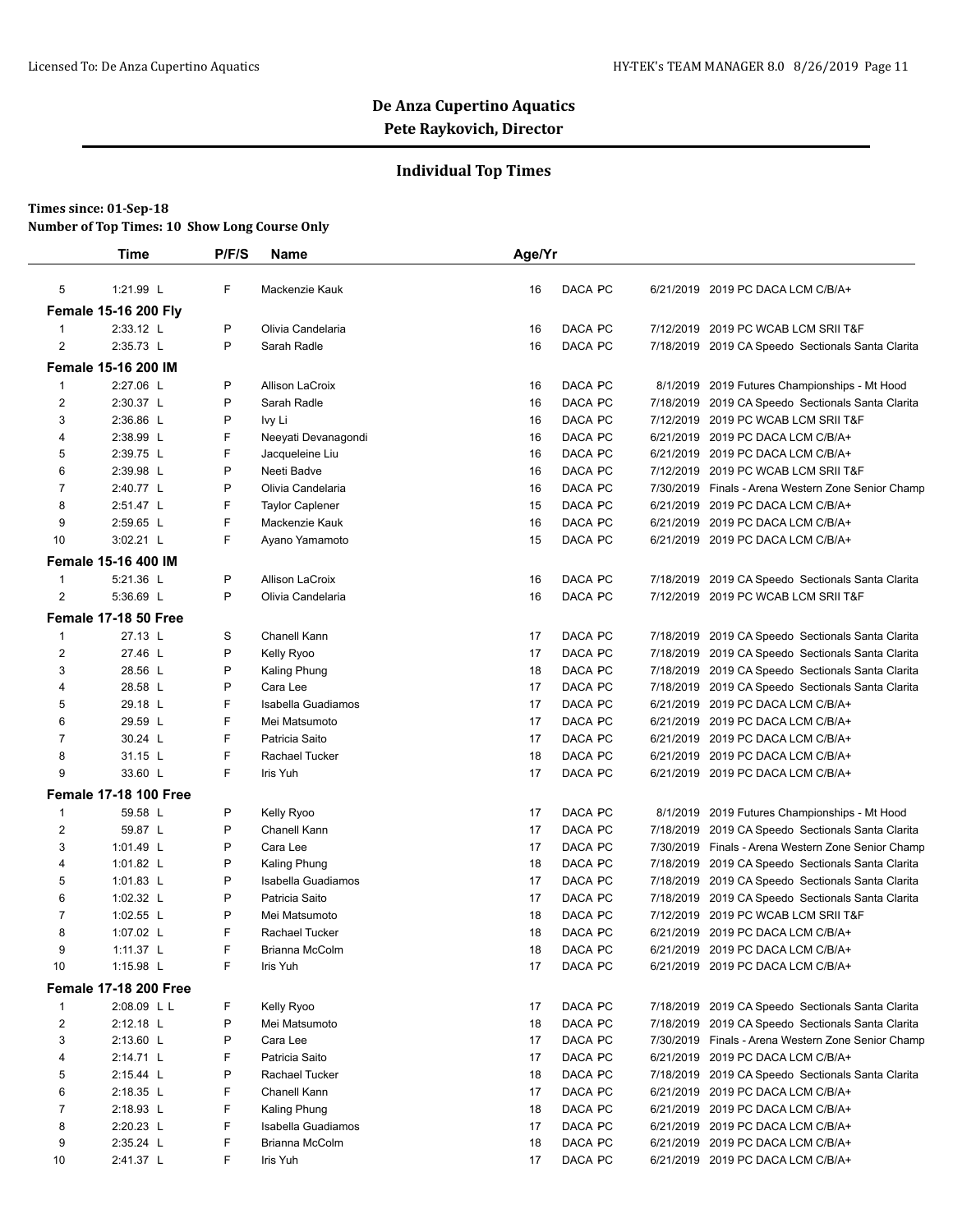### **Individual Top Times**

|                | <b>Time</b>                  | P/F/S | Name                   | Age/Yr |         |           |                                                    |
|----------------|------------------------------|-------|------------------------|--------|---------|-----------|----------------------------------------------------|
| 5              | 1:21.99 L                    | F     | Mackenzie Kauk         | 16     | DACA PC |           | 6/21/2019 2019 PC DACA LCM C/B/A+                  |
|                | <b>Female 15-16 200 Fly</b>  |       |                        |        |         |           |                                                    |
| 1              | 2:33.12 L                    | P     | Olivia Candelaria      | 16     | DACA PC |           | 7/12/2019 2019 PC WCAB LCM SRII T&F                |
| $\overline{2}$ | 2:35.73 L                    | P     | Sarah Radle            | 16     | DACA PC |           | 7/18/2019 2019 CA Speedo Sectionals Santa Clarita  |
|                | <b>Female 15-16 200 IM</b>   |       |                        |        |         |           |                                                    |
| 1              | 2:27.06 L                    | P     | Allison LaCroix        | 16     | DACA PC |           | 8/1/2019 2019 Futures Championships - Mt Hood      |
| $\overline{c}$ | 2:30.37 L                    | P     | Sarah Radle            | 16     | DACA PC | 7/18/2019 | 2019 CA Speedo Sectionals Santa Clarita            |
| 3              | 2:36.86 L                    | P     | Ivy Li                 | 16     | DACA PC | 7/12/2019 | 2019 PC WCAB LCM SRII T&F                          |
| 4              | 2:38.99 L                    | F     | Neeyati Devanagondi    | 16     | DACA PC |           | 6/21/2019 2019 PC DACA LCM C/B/A+                  |
| 5              | 2:39.75 L                    | F     | Jacqueleine Liu        | 16     | DACA PC |           | 6/21/2019 2019 PC DACA LCM C/B/A+                  |
| 6              | 2:39.98 L                    | P     | Neeti Badve            | 16     | DACA PC |           | 7/12/2019 2019 PC WCAB LCM SRII T&F                |
| $\overline{7}$ | 2:40.77 L                    | P     | Olivia Candelaria      | 16     | DACA PC |           | 7/30/2019 Finals - Arena Western Zone Senior Champ |
| 8              | 2:51.47 L                    | F     | <b>Taylor Caplener</b> | 15     | DACA PC |           | 6/21/2019 2019 PC DACA LCM C/B/A+                  |
| 9              | 2:59.65 L                    | F     | Mackenzie Kauk         | 16     | DACA PC |           | 6/21/2019 2019 PC DACA LCM C/B/A+                  |
| 10             | 3:02.21 L                    | F     | Ayano Yamamoto         | 15     | DACA PC |           | 6/21/2019 2019 PC DACA LCM C/B/A+                  |
|                | <b>Female 15-16 400 IM</b>   |       |                        |        |         |           |                                                    |
|                |                              |       |                        |        |         |           |                                                    |
| 1              | 5:21.36 L                    | P     | Allison LaCroix        | 16     | DACA PC |           | 7/18/2019 2019 CA Speedo Sectionals Santa Clarita  |
| $\overline{2}$ | 5:36.69 L                    | P     | Olivia Candelaria      | 16     | DACA PC |           | 7/12/2019 2019 PC WCAB LCM SRII T&F                |
|                | Female 17-18 50 Free         |       |                        |        |         |           |                                                    |
| 1              | 27.13 L                      | S     | Chanell Kann           | 17     | DACA PC | 7/18/2019 | 2019 CA Speedo Sectionals Santa Clarita            |
| 2              | 27.46 L                      | P     | Kelly Ryoo             | 17     | DACA PC | 7/18/2019 | 2019 CA Speedo Sectionals Santa Clarita            |
| 3              | 28.56 L                      | P     | Kaling Phung           | 18     | DACA PC |           | 7/18/2019 2019 CA Speedo Sectionals Santa Clarita  |
| 4              | 28.58 L                      | P     | Cara Lee               | 17     | DACA PC |           | 7/18/2019 2019 CA Speedo Sectionals Santa Clarita  |
| 5              | 29.18 L                      | F     | Isabella Guadiamos     | 17     | DACA PC |           | 6/21/2019 2019 PC DACA LCM C/B/A+                  |
| 6              | 29.59 L                      | F     | Mei Matsumoto          | 17     | DACA PC |           | 6/21/2019 2019 PC DACA LCM C/B/A+                  |
| $\overline{7}$ | 30.24 L                      | F     | Patricia Saito         | 17     | DACA PC |           | 6/21/2019 2019 PC DACA LCM C/B/A+                  |
| 8              | 31.15 L                      | F     | Rachael Tucker         | 18     | DACA PC |           | 6/21/2019 2019 PC DACA LCM C/B/A+                  |
| 9              | 33.60 L                      | F     | Iris Yuh               | 17     | DACA PC |           | 6/21/2019 2019 PC DACA LCM C/B/A+                  |
|                | <b>Female 17-18 100 Free</b> |       |                        |        |         |           |                                                    |
| 1              | 59.58 L                      | P     | Kelly Ryoo             | 17     | DACA PC | 8/1/2019  | 2019 Futures Championships - Mt Hood               |
| 2              | 59.87 L                      | P     | Chanell Kann           | 17     | DACA PC |           | 7/18/2019 2019 CA Speedo Sectionals Santa Clarita  |
| 3              | 1:01.49 L                    | P     | Cara Lee               | 17     | DACA PC |           | 7/30/2019 Finals - Arena Western Zone Senior Champ |
| 4              | 1:01.82 L                    | P     | Kaling Phung           | 18     | DACA PC |           | 7/18/2019 2019 CA Speedo Sectionals Santa Clarita  |
| 5              | 1:01.83 $L$                  | P     | Isabella Guadiamos     | 17     | DACA PC |           | 7/18/2019 2019 CA Speedo Sectionals Santa Clarita  |
| 6              | 1:02.32 $L$                  | P     | Patricia Saito         | 17     | DACA PC |           | 7/18/2019 2019 CA Speedo Sectionals Santa Clarita  |
| 7              | 1:02.55 L                    | P     | Mei Matsumoto          | 18     | DACA PC |           | 7/12/2019 2019 PC WCAB LCM SRII T&F                |
| 8              | 1:07.02 $L$                  | F     | Rachael Tucker         | 18     | DACA PC |           | 6/21/2019 2019 PC DACA LCM C/B/A+                  |
| 9              | 1:11.37 L                    | F     | Brianna McColm         | 18     | DACA PC |           | 6/21/2019 2019 PC DACA LCM C/B/A+                  |
| 10             | 1:15.98 L                    | F     | Iris Yuh               | 17     | DACA PC |           | 6/21/2019 2019 PC DACA LCM C/B/A+                  |
|                | <b>Female 17-18 200 Free</b> |       |                        |        |         |           |                                                    |
| $\mathbf{1}$   | 2:08.09 L L                  | F     | Kelly Ryoo             | 17     | DACA PC |           | 7/18/2019 2019 CA Speedo Sectionals Santa Clarita  |
| 2              | 2:12.18 L                    | P     | Mei Matsumoto          | 18     | DACA PC |           | 7/18/2019 2019 CA Speedo Sectionals Santa Clarita  |
| 3              | 2:13.60 L                    | P     | Cara Lee               | 17     | DACA PC |           | 7/30/2019 Finals - Arena Western Zone Senior Champ |
| 4              | 2:14.71 L                    | F     | Patricia Saito         | 17     | DACA PC |           | 6/21/2019 2019 PC DACA LCM C/B/A+                  |
| 5              | 2:15.44 L                    | P     | Rachael Tucker         | 18     | DACA PC |           | 7/18/2019 2019 CA Speedo Sectionals Santa Clarita  |
| 6              | 2:18.35 L                    | F     | Chanell Kann           | 17     | DACA PC |           | 6/21/2019 2019 PC DACA LCM C/B/A+                  |
| $\overline{7}$ | 2:18.93 L                    | F     | Kaling Phung           | 18     | DACA PC |           | 6/21/2019 2019 PC DACA LCM C/B/A+                  |
| 8              | 2:20.23 L                    | F     | Isabella Guadiamos     | 17     | DACA PC |           | 6/21/2019 2019 PC DACA LCM C/B/A+                  |
| 9              | 2:35.24 L                    | F     | Brianna McColm         | 18     | DACA PC |           | 6/21/2019 2019 PC DACA LCM C/B/A+                  |
| 10             | 2:41.37 L                    | F     | Iris Yuh               | 17     | DACA PC |           | 6/21/2019 2019 PC DACA LCM C/B/A+                  |
|                |                              |       |                        |        |         |           |                                                    |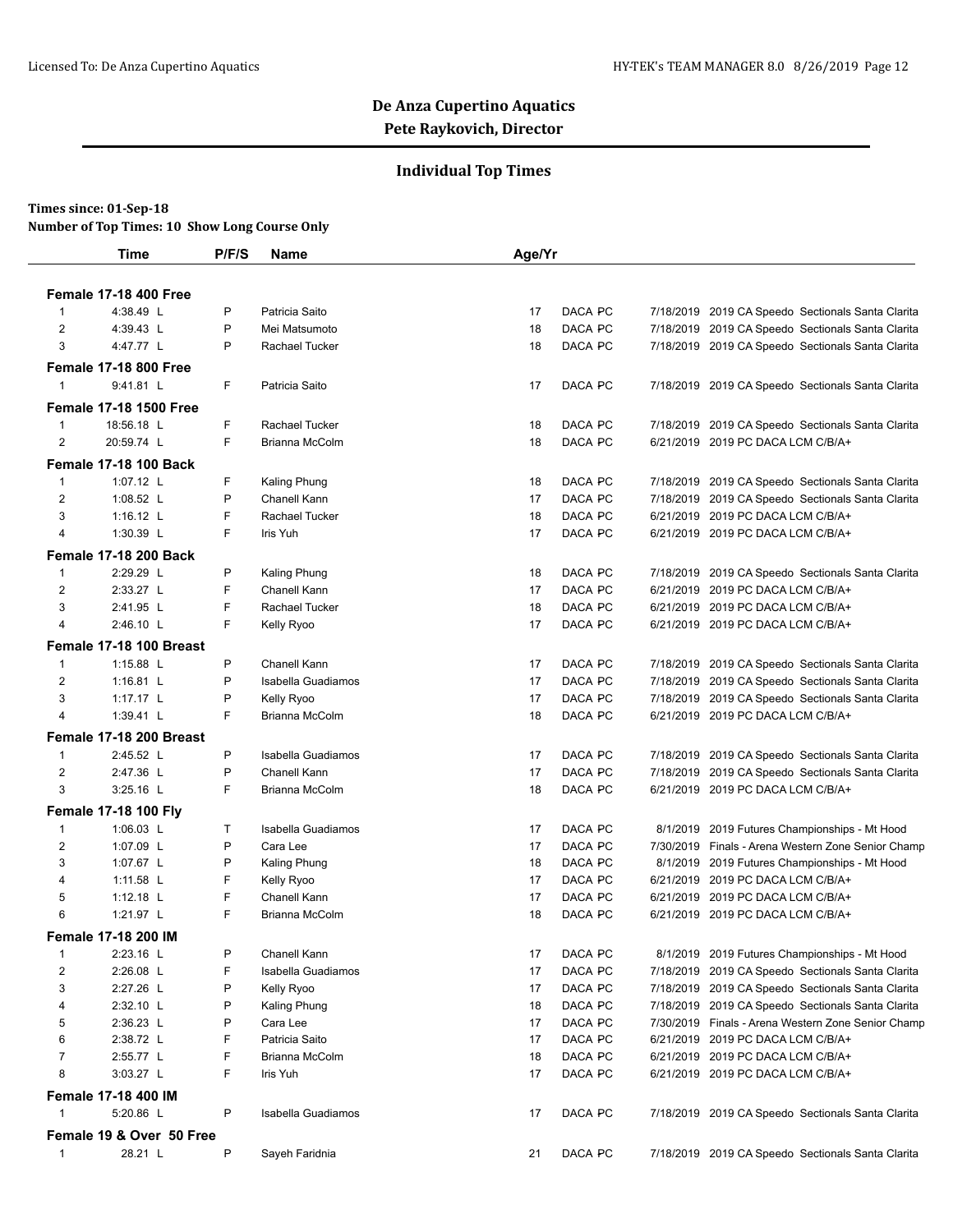### **Individual Top Times**

#### **Times since: 01-Sep-18**

**Number of Top Times: 10 Show Long Course Only**

|                         | <b>Time</b>                               | P/F/S | <b>Name</b>        | Age/Yr |         |           |                                                                                              |
|-------------------------|-------------------------------------------|-------|--------------------|--------|---------|-----------|----------------------------------------------------------------------------------------------|
|                         |                                           |       |                    |        |         |           |                                                                                              |
| $\mathbf 1$             | <b>Female 17-18 400 Free</b><br>4:38.49 L | P     | Patricia Saito     | 17     | DACA PC |           |                                                                                              |
| $\overline{2}$          | 4:39.43 L                                 | P     | Mei Matsumoto      | 18     | DACA PC | 7/18/2019 | 7/18/2019 2019 CA Speedo Sectionals Santa Clarita<br>2019 CA Speedo Sectionals Santa Clarita |
| 3                       | 4:47.77 L                                 | P     | Rachael Tucker     | 18     | DACA PC |           | 7/18/2019 2019 CA Speedo Sectionals Santa Clarita                                            |
|                         |                                           |       |                    |        |         |           |                                                                                              |
|                         | <b>Female 17-18 800 Free</b>              |       |                    |        |         |           |                                                                                              |
| $\mathbf 1$             | 9:41.81 L                                 | F     | Patricia Saito     | 17     | DACA PC |           | 7/18/2019 2019 CA Speedo Sectionals Santa Clarita                                            |
|                         | <b>Female 17-18 1500 Free</b>             |       |                    |        |         |           |                                                                                              |
| $\mathbf{1}$            | 18:56.18 L                                | F     | Rachael Tucker     | 18     | DACA PC |           | 7/18/2019 2019 CA Speedo Sectionals Santa Clarita                                            |
| 2                       | 20:59.74 L                                | F     | Brianna McColm     | 18     | DACA PC |           | 6/21/2019 2019 PC DACA LCM C/B/A+                                                            |
|                         | <b>Female 17-18 100 Back</b>              |       |                    |        |         |           |                                                                                              |
| $\mathbf{1}$            | 1:07.12 L                                 | F     | Kaling Phung       | 18     | DACA PC |           | 7/18/2019 2019 CA Speedo Sectionals Santa Clarita                                            |
| $\overline{2}$          | 1:08.52 L                                 | P     | Chanell Kann       | 17     | DACA PC | 7/18/2019 | 2019 CA Speedo Sectionals Santa Clarita                                                      |
| 3                       | 1:16.12 $L$                               | F     | Rachael Tucker     | 18     | DACA PC | 6/21/2019 | 2019 PC DACA LCM C/B/A+                                                                      |
| $\overline{4}$          | 1:30.39 L                                 | F     | Iris Yuh           | 17     | DACA PC |           | 6/21/2019 2019 PC DACA LCM C/B/A+                                                            |
|                         | <b>Female 17-18 200 Back</b>              |       |                    |        |         |           |                                                                                              |
| $\mathbf{1}$            | 2:29.29 L                                 | P     | Kaling Phung       | 18     | DACA PC |           | 7/18/2019 2019 CA Speedo Sectionals Santa Clarita                                            |
| $\overline{2}$          | 2:33.27 L                                 | F     | Chanell Kann       | 17     | DACA PC | 6/21/2019 | 2019 PC DACA LCM C/B/A+                                                                      |
| 3                       | 2:41.95 L                                 | F     | Rachael Tucker     | 18     | DACA PC |           | 6/21/2019 2019 PC DACA LCM C/B/A+                                                            |
| $\overline{4}$          | 2:46.10 L                                 | F     | Kelly Ryoo         | 17     | DACA PC |           | 6/21/2019 2019 PC DACA LCM C/B/A+                                                            |
|                         |                                           |       |                    |        |         |           |                                                                                              |
|                         | Female 17-18 100 Breast                   |       |                    |        |         |           |                                                                                              |
| $\mathbf{1}$            | 1:15.88 L                                 | P     | Chanell Kann       | 17     | DACA PC |           | 7/18/2019 2019 CA Speedo Sectionals Santa Clarita                                            |
| $\overline{2}$          | 1:16.81 L                                 | P     | Isabella Guadiamos | 17     | DACA PC |           | 7/18/2019 2019 CA Speedo Sectionals Santa Clarita                                            |
| 3                       | 1:17.17 L                                 | P     | Kelly Ryoo         | 17     | DACA PC | 7/18/2019 | 2019 CA Speedo Sectionals Santa Clarita                                                      |
| 4                       | 1:39.41 L                                 | F     | Brianna McColm     | 18     | DACA PC |           | 6/21/2019 2019 PC DACA LCM C/B/A+                                                            |
|                         | Female 17-18 200 Breast                   |       |                    |        |         |           |                                                                                              |
| $\mathbf{1}$            | 2:45.52 L                                 | P     | Isabella Guadiamos | 17     | DACA PC | 7/18/2019 | 2019 CA Speedo Sectionals Santa Clarita                                                      |
| 2                       | 2:47.36 L                                 | P     | Chanell Kann       | 17     | DACA PC | 7/18/2019 | 2019 CA Speedo Sectionals Santa Clarita                                                      |
| 3                       | 3:25.16 L                                 | F     | Brianna McColm     | 18     | DACA PC |           | 6/21/2019 2019 PC DACA LCM C/B/A+                                                            |
|                         | <b>Female 17-18 100 Fly</b>               |       |                    |        |         |           |                                                                                              |
| $\mathbf{1}$            | 1:06.03 L                                 | T     | Isabella Guadiamos | 17     | DACA PC | 8/1/2019  | 2019 Futures Championships - Mt Hood                                                         |
| 2                       | 1:07.09 L                                 | P     | Cara Lee           | 17     | DACA PC |           | 7/30/2019 Finals - Arena Western Zone Senior Champ                                           |
| 3                       | 1:07.67 L                                 | P     | Kaling Phung       | 18     | DACA PC |           | 8/1/2019 2019 Futures Championships - Mt Hood                                                |
| 4                       | 1:11.58 $L$                               | F     | Kelly Ryoo         | 17     | DACA PC | 6/21/2019 | 2019 PC DACA LCM C/B/A+                                                                      |
| 5                       | 1:12.18 $L$                               | F     | Chanell Kann       | 17     | DACA PC | 6/21/2019 | 2019 PC DACA LCM C/B/A+                                                                      |
| 6                       | 1:21.97 L                                 | F     | Brianna McColm     | 18     | DACA PC |           | 6/21/2019 2019 PC DACA LCM C/B/A+                                                            |
|                         | <b>Female 17-18 200 IM</b>                |       |                    |        |         |           |                                                                                              |
| $\mathbf{1}$            | 2:23.16 L                                 | P     | Chanell Kann       | 17     | DACA PC |           | 8/1/2019 2019 Futures Championships - Mt Hood                                                |
| $\overline{\mathbf{c}}$ | 2:26.08 L                                 | F     | Isabella Guadiamos | 17     | DACA PC |           | 7/18/2019 2019 CA Speedo Sectionals Santa Clarita                                            |
| 3                       | 2:27.26 L                                 | Ρ     | Kelly Ryoo         | 17     | DACA PC |           | 7/18/2019 2019 CA Speedo Sectionals Santa Clarita                                            |
| 4                       | 2:32.10 L                                 | P     | Kaling Phung       | 18     | DACA PC | 7/18/2019 | 2019 CA Speedo Sectionals Santa Clarita                                                      |
| 5                       | 2:36.23 L                                 | Ρ     | Cara Lee           | 17     | DACA PC |           | 7/30/2019 Finals - Arena Western Zone Senior Champ                                           |
| 6                       | 2:38.72 L                                 | F     | Patricia Saito     | 17     | DACA PC |           | 6/21/2019 2019 PC DACA LCM C/B/A+                                                            |
| $\overline{7}$          | 2:55.77 L                                 | F     | Brianna McColm     | 18     | DACA PC |           | 6/21/2019 2019 PC DACA LCM C/B/A+                                                            |
| 8                       | 3:03.27 L                                 | F     | Iris Yuh           | 17     | DACA PC |           | 6/21/2019 2019 PC DACA LCM C/B/A+                                                            |
|                         | <b>Female 17-18 400 IM</b>                |       |                    |        |         |           |                                                                                              |
| 1                       | 5:20.86 L                                 | P     | Isabella Guadiamos | 17     | DACA PC |           | 7/18/2019 2019 CA Speedo Sectionals Santa Clarita                                            |
|                         |                                           |       |                    |        |         |           |                                                                                              |
|                         | Female 19 & Over 50 Free                  |       |                    |        |         |           |                                                                                              |
| $\mathbf{1}$            | 28.21 L                                   | P     | Sayeh Faridnia     | 21     | DACA PC |           | 7/18/2019 2019 CA Speedo Sectionals Santa Clarita                                            |